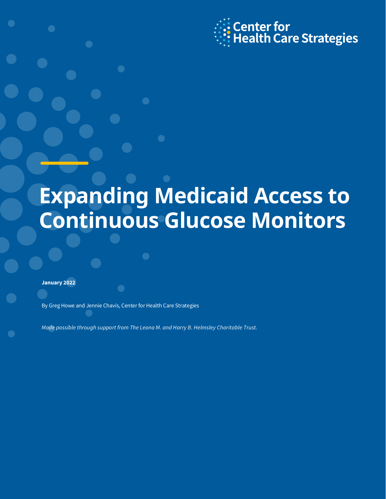

# **Expanding Medicaid Access to Continuous Glucose Monitors**

**January 2022**

By Greg Howe and Jennie Chavis, Center for Health Care Strategies

*Made possible through support from The Leona M. and Harry B. Helmsley Charitable Trust.*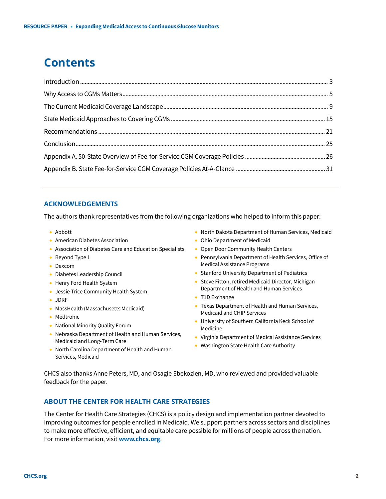# **Contents**

#### **ACKNOWLEDGEMENTS**

The authors thank representatives from the following organizations who helped to inform this paper:

- Abbott
- American Diabetes Association
- Association of Diabetes Care and Education Specialists
- Beyond Type 1
- Dexcom
- Diabetes Leadership Council
- Henry Ford Health System
- Jessie Trice Community Health System
- JDRF
- MassHealth (Massachusetts Medicaid)
- Medtronic
- National Minority Quality Forum
- Nebraska Department of Health and Human Services, Medicaid and Long-Term Care
- North Carolina Department of Health and Human Services, Medicaid
- North Dakota Department of Human Services, Medicaid
- Ohio Department of Medicaid
- Open Door Community Health Centers
- Pennsylvania Department of Health Services, Office of Medical Assistance Programs
- Stanford University Department of Pediatrics
- Steve Fitton, retired Medicaid Director, Michigan Department of Health and Human Services
- T1D Exchange
- Texas Department of Health and Human Services, Medicaid and CHIP Services
- University of Southern California Keck School of Medicine
- Virginia Department of Medical Assistance Services
- Washington State Health Care Authority

CHCS also thanks Anne Peters, MD, and Osagie Ebekozien, MD, who reviewed and provided valuable feedback for the paper.

### **ABOUT THE CENTER FOR HEALTH CARE STRATEGIES**

The Center for Health Care Strategies (CHCS) is a policy design and implementation partner devoted to improving outcomes for people enrolled in Medicaid. We support partners across sectors and disciplines to make more effective, efficient, and equitable care possible for millions of people across the nation. For more information, visit **[www.chcs.org](http://www.chcs.org/)**.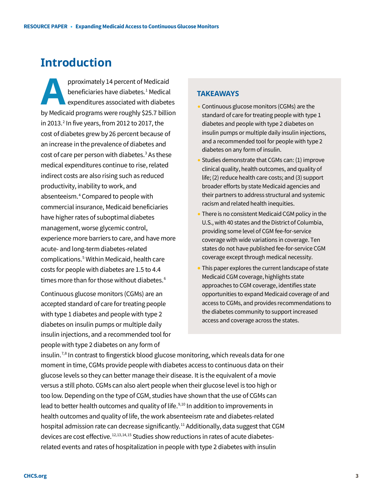# **Introduction**

pproximately 14 percent of Medicaid beneficiaries have diabetes.<sup>[1](#page-32-0)</sup> Medical expenditures associated with diabetes pproximately 14 percent of Medicaid<br>
beneficiaries have diabetes.<sup>1</sup> Medical<br>
expenditures associated with diabetes<br>
by Medicaid programs were roughly \$25.7 billion in [2](#page-32-1)013. $2$  In five years, from 2012 to 2017, the cost of diabetes grew by 26 percent because of an increase in the prevalence of diabetes and cost of care per person with diabetes.<sup>[3](#page-32-2)</sup> As these medical expenditures continue to rise, related indirect costs are also rising such as reduced productivity, inability to work, and absenteeism.[4](#page-32-3) Compared to people with commercial insurance, Medicaid beneficiaries have higher rates of suboptimal diabetes management, worse glycemic control, experience more barriers to care, and have more acute- and long-term diabetes-related complications.[5](#page-32-4) Within Medicaid, health care costs for people with diabetes are 1.5 to 4.4 times more than for those without diabetes.<sup>[6](#page-32-5)</sup>

Continuous glucose monitors (CGMs) are an accepted standard of care for treating people with type 1 diabetes and people with type 2 diabetes on insulin pumps or multiple daily insulin injections, and a recommended tool for people with type 2 diabetes on any form of

### **TAKEAWAYS**

- Continuous glucose monitors (CGMs) are the standard of care for treating people with type 1 diabetes and people with type 2 diabetes on insulin pumps or multiple daily insulin injections, and a recommended tool for people with type 2 diabetes on any form of insulin.
- Studies demonstrate that CGMs can: (1) improve clinical quality, health outcomes, and quality of life; (2) reduce health care costs; and (3) support broader efforts by state Medicaid agencies and their partners to address structural and systemic racism and related health inequities.
- There is no consistent Medicaid CGM policy in the U.S., with 40 states and the District of Columbia, providing some level of CGM fee-for-service coverage with wide variations in coverage. Ten states do not have published fee-for-service CGM coverage except through medical necessity.
- This paper explores the current landscape of state Medicaid CGM coverage, highlights state approaches to CGM coverage, identifies state opportunities to expand Medicaid coverage of and access to CGMs, and provides recommendations to the diabetes community to support increased access and coverage across the states.

insulin.<sup>[7,](#page-32-6)[8](#page-32-7)</sup> In contrast to fingerstick blood glucose monitoring, which reveals data for one moment in time, CGMs provide people with diabetes access to continuous data on their glucose levels so they can better manage their disease. It is the equivalent of a movie versus a still photo. CGMs can also alert people when their glucose level is too high or too low. Depending on the type of CGM, studies have shown that the use of CGMs can lead to better health outcomes and quality of life. $9,10$  $9,10$  In addition to improvements in health outcomes and quality of life, the work absenteeism rate and diabetes-related hospital admission rate can decrease significantly.<sup>[11](#page-32-10)</sup> Additionally, data suggest that CGM devices are cost effective.<sup>[12,](#page-32-11)[13,](#page-32-12)[14](#page-32-13),[15](#page-32-14)</sup> Studies show reductions in rates of acute diabetesrelated events and rates of hospitalization in people with type 2 diabetes with insulin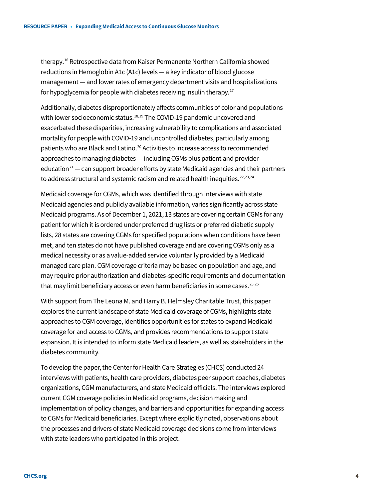therapy.[16](#page-32-15) Retrospective data from Kaiser Permanente Northern California showed reductions in Hemoglobin A1c (A1c) levels — a key indicator of blood glucose management — and lower rates of emergency department visits and hospitalizations for hypoglycemia for people with diabetes receiving insulin therapy.<sup>[17](#page-32-16)</sup>

Additionally, diabetes disproportionately affects communities of color and populations with lower socioeconomic status.<sup>[18](#page-32-17),[19](#page-32-18)</sup> The COVID-19 pandemic uncovered and exacerbated these disparities, increasing vulnerability to complications and associated mortality for people with COVID-19 and uncontrolled diabetes, particularly among patients who are Black and Latino.<sup>[20](#page-33-0)</sup> Activities to increase access to recommended approaches to managing diabetes — including CGMs plus patient and provider education<sup>[21](#page-33-1)</sup> — can support broader efforts by state Medicaid agencies and their partners to address structural and systemic racism and related health inequities.<sup>22,[23,](#page-33-3)[24](#page-33-4)</sup>

Medicaid coverage for CGMs, which was identified through interviews with state Medicaid agencies and publicly available information, varies significantly across state Medicaid programs. As of December 1, 2021, 13 states are covering certain CGMs for any patient for which it is ordered under preferred drug lists or preferred diabetic supply lists, 28 states are covering CGMs for specified populations when conditions have been met, and ten states do not have published coverage and are covering CGMs only as a medical necessity or as a value-added service voluntarily provided by a Medicaid managed care plan. CGM coverage criteria may be based on population and age, and may require prior authorization and diabetes-specific requirements and documentation that may limit beneficiary access or even harm beneficiaries in some cases.  $25,26$  $25,26$  $25,26$ 

With support from The Leona M. and Harry B. Helmsley Charitable Trust, this paper explores the current landscape of state Medicaid coverage of CGMs, highlights state approaches to CGM coverage, identifies opportunities for states to expand Medicaid coverage for and access to CGMs, and provides recommendations to support state expansion. It is intended to inform state Medicaid leaders, as well as stakeholders in the diabetes community.

To develop the paper, the Center for Health Care Strategies (CHCS) conducted 24 interviews with patients, health care providers, diabetes peer support coaches, diabetes organizations, CGM manufacturers, and state Medicaid officials. The interviews explored current CGM coverage policies in Medicaid programs, decision making and implementation of policy changes, and barriers and opportunities for expanding access to CGMs for Medicaid beneficiaries. Except where explicitly noted, observations about the processes and drivers of state Medicaid coverage decisions come from interviews with state leaders who participated in this project.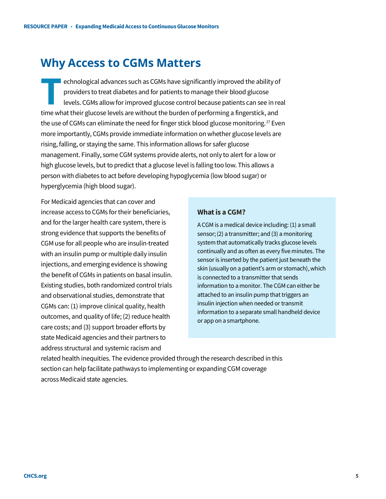# **Why Access to CGMs Matters**

echnological advances such as CGMs have significantly improved the ability of providers to treat diabetes and for patients to manage their blood glucose levels. CGMs allow for improved glucose control because patients can see in real **EXERCISE SERVIS AND ARE SERVIS THEIR CONS HAVE SIGNS HAVE SIGNS INTO PROVIDENT SOME SIGNS allow for improved glucose control because patients can see in retime what their glucose levels are without the burden of performin** the use of CGMs can eliminate the need for finger stick blood glucose monitoring.<sup>27</sup> Even more importantly, CGMs provide immediate information on whether glucose levels are rising, falling, or staying the same. This information allows for safer glucose management. Finally, some CGM systems provide alerts, not only to alert for a low or high glucose levels, but to predict that a glucose level is falling too low. This allows a person with diabetes to act before developing hypoglycemia (low blood sugar) or hyperglycemia (high blood sugar).

For Medicaid agencies that can cover and increase access to CGMs for their beneficiaries, and for the larger health care system, there is strong evidence that supports the benefits of CGM use for all people who are insulin-treated with an insulin pump or multiple daily insulin injections, and emerging evidence is showing the benefit of CGMs in patients on basal insulin. Existing studies, both randomized control trials and observational studies, demonstrate that CGMs can: (1) improve clinical quality, health outcomes, and quality of life; (2) reduce health care costs; and (3) support broader efforts by state Medicaid agencies and their partners to address structural and systemic racism and

#### **What is a CGM?**

A CGM is a medical device including: (1) a small sensor; (2) a transmitter; and (3) a monitoring system that automatically tracks glucose levels continually and as often as every five minutes. The sensor is inserted by the patient just beneath the skin (usually on a patient's arm or stomach), which is connected to a transmitter that sends information to a monitor. The CGM can either be attached to an insulin pump that triggers an insulin injection when needed or transmit information to a separate small handheld device or app on a smartphone.

related health inequities. The evidence provided through the research described in this section can help facilitate pathways to implementing or expanding CGM coverage across Medicaid state agencies.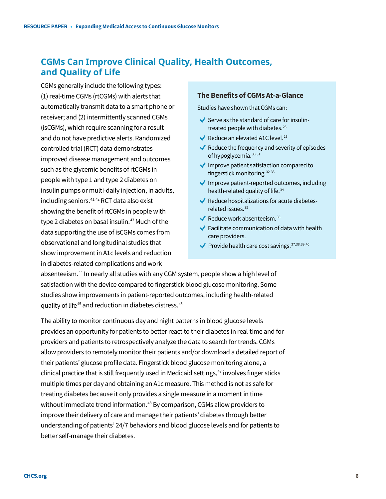# **CGMs Can Improve Clinical Quality, Health Outcomes, and Quality of Life**

CGMs generally include the following types: (1) real-time CGMs (rtCGMs) with alerts that automatically transmit data to a smart phone or receiver; and (2) intermittently scanned CGMs (isCGMs), which require scanning for a result and do not have predictive alerts. Randomized controlled trial (RCT) data demonstrates improved disease management and outcomes such as the glycemic benefits of rtCGMs in people with type 1 and type 2 diabetes on insulin pumps or multi-daily injection, in adults, including seniors.<sup>[41,](#page-33-8)[42](#page-33-9)</sup> RCT data also exist showing the benefit of rtCGMs in people with type 2 diabetes on basal insulin.<sup>[43](#page-33-10)</sup> Much of the data supporting the use of isCGMs comes from observational and longitudinal studies that show improvement in A1c levels and reduction in diabetes-related complications and work

#### **The Benefits of CGMs At-a-Glance**

Studies have shown that CGMs can:

- $\blacktriangleright$  Serve as the standard of care for insulin-treated people with diabetes.<sup>[28](#page-33-16)</sup>
- Reduce an elevated A1C level.<sup>[29](#page-33-17)</sup>
- $\blacktriangleright$  Reduce the frequency and severity of episodes of hypoglycemia. [30](#page-33-18),[31](#page-33-19)
- $\blacklozenge$  Improve patient satisfaction compared to fingerstick monitoring. [32,](#page-33-20)[33](#page-33-21)
- $\blacklozenge$  Improve patient-reported outcomes, including health-related quality of life.<sup>34</sup>
- $\blacklozenge$  Reduce hospitalizations for acute diabetes-related issues.<sup>[35](#page-33-23)</sup>
- Reduce work absenteeism.  $36$
- $\blacktriangleright$  Facilitate communication of data with health care providers.
- Provide health care cost savings.  $37,38,39,40$  $37,38,39,40$  $37,38,39,40$  $37,38,39,40$  $37,38,39,40$  $37,38,39,40$  $37,38,39,40$

absenteeism.<sup>[44](#page-33-11)</sup> In nearly all studies with any CGM system, people show a high level of satisfaction with the device compared to fingerstick blood glucose monitoring. Some studies show improvements in patient-reported outcomes, including health-related quality of life<sup>[45](#page-33-12)</sup> and reduction in diabetes distress.<sup>46</sup>

The ability to monitor continuous day and night patterns in blood glucose levels provides an opportunity for patients to better react to their diabetes in real-time and for providers and patients to retrospectively analyze the data to search for trends. CGMs allow providers to remotely monitor their patients and/or download a detailed report of their patients' glucose profile data. Fingerstick blood glucose monitoring alone, a clinical practice that is still frequently used in Medicaid settings,<sup>[47](#page-33-14)</sup> involves finger sticks multiple times per day and obtaining an A1c measure. This method is not as safe for treating diabetes because it only provides a single measure in a moment in time without immediate trend information.<sup>[48](#page-33-15)</sup> By comparison, CGMs allow providers to improve their delivery of care and manage their patients' diabetes through better understanding of patients' 24/7 behaviors and blood glucose levels and for patients to better self-manage their diabetes.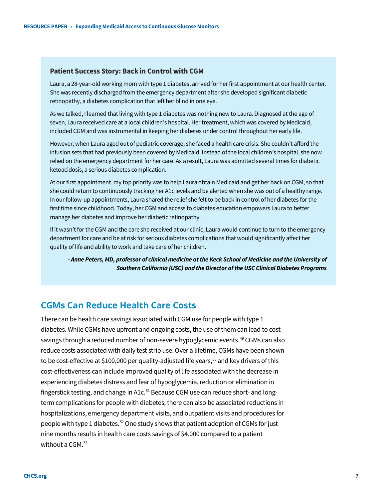### **Patient Success Story: Back in Control with CGM**

Laura, a 28-year-old working mom with type 1 diabetes, arrived for her first appointment at our health center. She was recently discharged from the emergency department after she developed significant diabetic retinopathy, a diabetes complication that left her blind in one eye.

As we talked, I learned that living with type 1 diabetes was nothing new to Laura. Diagnosed at the age of seven, Laura received care at a local children's hospital. Her treatment, which was covered by Medicaid, included CGM and was instrumental in keeping her diabetes under control throughout her early life.

However, when Laura aged out of pediatric coverage, she faced a health care crisis. She couldn't afford the infusion sets that had previously been covered by Medicaid. Instead of the local children's hospital, she now relied on the emergency department for her care. As a result, Laura was admitted several times for diabetic ketoacidosis, a serious diabetes complication.

At our first appointment, my top priority was to help Laura obtain Medicaid and get her back on CGM, so that she could return to continuously tracking her A1c levels and be alerted when she was out of a healthy range. In our follow-up appointments, Laura shared the relief she felt to be back in control of her diabetes for the first time since childhood. Today, her CGM and access to diabetes education empowers Laura to better manage her diabetes and improve her diabetic retinopathy.

If it wasn't for the CGM and the care she received at our clinic, Laura would continue to turn to the emergency department for care and be at risk for serious diabetes complications that would significantly affect her quality of life and ability to work and take care of her children.

*- Anne Peters, MD, professor of clinical medicine at the Keck School of Medicine and the University of Southern California (USC) and the Director of the USC Clinical Diabetes Programs*

### **CGMs Can Reduce Health Care Costs**

There can be health care savings associated with CGM use for people with type 1 diabetes. While CGMs have upfront and ongoing costs, the use of them can lead to cost savings through a reduced number of non-severe hypoglycemic events.<sup>[49](#page-33-29)</sup> CGMs can also reduce costs associated with daily test strip use.Over a lifetime, CGMs have been shown to be cost-effective at \$100,000 per quality-adjusted life years,<sup>[50](#page-34-0)</sup> and key drivers of this cost-effectiveness can include improved quality of life associated with the decrease in experiencing diabetes distress and fear of hypoglycemia, reduction or elimination in fingerstick testing, and change in A1c.<sup>51</sup> Because CGM use can reduce short- and longterm complications for people with diabetes, there can also be associated reductions in hospitalizations, emergency department visits, and outpatient visits and procedures for people with type 1 diabetes.<sup>[52](#page-34-2)</sup> One study shows that patient adoption of CGMs for just nine months results in health care costs savings of \$4,000 compared to a patient without a  $CGM.<sup>53</sup>$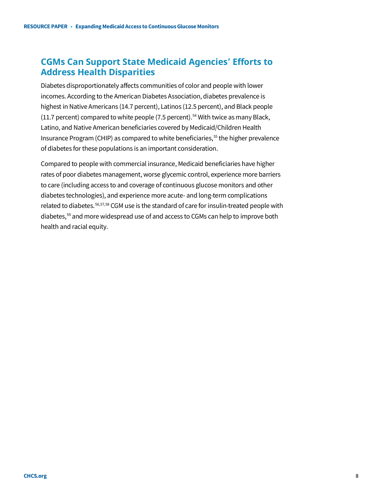# **CGMs Can Support State Medicaid Agencies' Efforts to Address Health Disparities**

Diabetes disproportionately affects communities of color and people with lower incomes. According to the American Diabetes Association, diabetes prevalence is highest in Native Americans (14.7 percent), Latinos (12.5 percent), and Black people (11.7 percent) compared to white people (7.5 percent).<sup>[54](#page-34-4)</sup> With twice as many Black, Latino, and Native American beneficiaries covered by Medicaid/Children Health Insurance Program (CHIP) as compared to white beneficiaries,<sup>[55](#page-34-5)</sup> the higher prevalence of diabetes for these populations is an important consideration.

Compared to people with commercial insurance, Medicaid beneficiaries have higher rates of poor diabetes management, worse glycemic control, experience more barriers to care (including access to and coverage of continuous glucose monitors and other diabetes technologies), and experience more acute- and long-term complications related to diabetes.<sup>[56](#page-34-6),[57](#page-34-7),[58](#page-34-8)</sup> CGM use is the standard of care for insulin-treated people with diabetes,<sup>[59](#page-34-9)</sup> and more widespread use of and access to CGMs can help to improve both health and racial equity.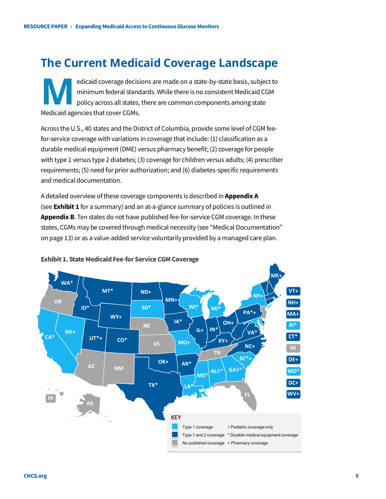# **The Current Medicaid Coverage Landscape**

edicaid coverage decisions are made on a state-by-state basis, subject to minimum federal standards. While there is no consistent Medicaid CGM policy across all states, there are common components among state edicaid coverage decisi<br>
minimum federal stand<br>
policy across all states,<br>
Medicaid agencies that cover CGMs.

Across the U.S., 40 states and the District of Columbia, provide some level of CGM feefor-service coverage with variations in coverage that include: (1) classification as a durable medical equipment (DME) versus pharmacy benefit; (2) coverage for people with type 1 versus type 2 diabetes; (3) coverage for children versus adults; (4) prescriber requirements; (5) need for prior authorization; and (6) diabetes-specific requirements and medical documentation.

A detailed overview ofthese coverage components is described in **Appendix A** (see **Exhibit 1** for a summary) and an at-a-glance summary of policies is outlined in **Appendix B**. Ten states do not have published fee-for-service CGM coverage. In these states, CGMs may be covered through medical necessity (see "Medical Documentation" on page 13) or as a value-added service voluntarily provided by a managed care plan.



#### **Exhibit 1. State Medicaid Fee-for Service CGM Coverage**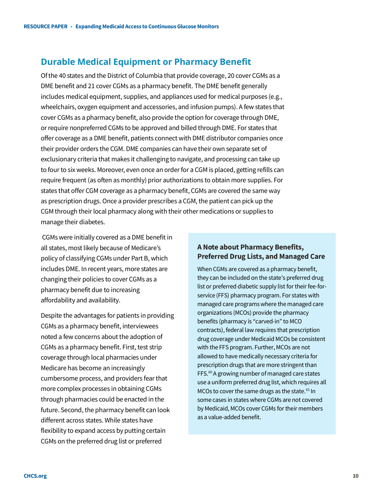### **Durable Medical Equipment or Pharmacy Benefit**

Of the 40 states and the District of Columbia that provide coverage, 20 cover CGMs as a DME benefit and 21 cover CGMs as a pharmacy benefit. The DME benefit generally includes medical equipment, supplies, and appliances used for medical purposes (e.g., wheelchairs, oxygen equipment and accessories, and infusion pumps). A few states that cover CGMs as a pharmacy benefit, also provide the option for coverage through DME, or require nonpreferred CGMs to be approved and billed through DME. For states that offer coverage as a DME benefit, patients connect with DME distributor companies once their provider orders the CGM. DME companies can have their own separate set of exclusionary criteria that makes it challenging to navigate, and processing can take up to four to six weeks. Moreover, even once an order for a CGM is placed, getting refills can require frequent (as often as monthly) prior authorizations to obtain more supplies. For states that offer CGM coverage as a pharmacy benefit, CGMs are covered the same way as prescription drugs. Once a provider prescribes a CGM, the patient can pick up the CGM through their local pharmacy along with their other medications or supplies to manage their diabetes.

CGMs were initially covered as a DME benefit in all states, most likely because of Medicare's policy of classifying CGMs under Part B, which includes DME. In recent years, more states are changing their policies to cover CGMs as a pharmacy benefit due to increasing affordability and availability.

Despite the advantages for patients in providing CGMs as a pharmacy benefit, interviewees noted a few concerns about the adoption of CGMs as a pharmacy benefit. First, test strip coverage through local pharmacies under Medicare has become an increasingly cumbersome process, and providers fear that more complex processes in obtaining CGMs through pharmacies could be enacted in the future. Second, the pharmacy benefit can look different across states. While states have flexibility to expand access by putting certain CGMs on the preferred drug list or preferred

### **A Note about Pharmacy Benefits, Preferred Drug Lists, and Managed Care**

When CGMs are covered as a pharmacy benefit, they can be included on the state's preferred drug list or preferred diabetic supply list for their fee-forservice (FFS) pharmacy program. For states with managed care programs where the managed care organizations (MCOs) provide the pharmacy benefits (pharmacy is "carved-in" to MCO contracts), federal law requires that prescription drug coverage under Medicaid MCOs be consistent with the FFS program. Further, MCOs are not allowed to have medically necessary criteria for prescription drugs that are more stringent than FFS.<sup>[60](#page-34-10)</sup> A growing number of managed care states use a uniform preferred drug list, which requires all MCOs to cover the same drugs as the state. $61$  In some cases in states where CGMs are not covered by Medicaid, MCOs cover CGMs for their members as a value-added benefit.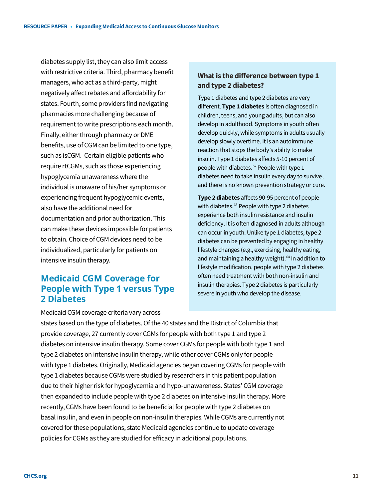diabetes supply list, they can also limit access with restrictive criteria. Third, pharmacy benefit managers, who act as a third-party, might negatively affect rebates and affordability for states. Fourth, some providers find navigating pharmacies more challenging because of requirement to write prescriptions each month. Finally, either through pharmacy or DME benefits, use of CGM can be limited to one type, such as isCGM. Certain eligible patients who require rtCGMs, such as those experiencing hypoglycemia unawareness where the individual is unaware of his/her symptoms or experiencing frequent hypoglycemic events, also have the additional need for documentation and prior authorization. This can make these devices impossible for patients to obtain. Choice of CGM devices need to be individualized, particularly for patients on intensive insulin therapy.

# **Medicaid CGM Coverage for People with Type 1 versus Type 2 Diabetes**

### **What is the difference between type 1 and type 2 diabetes?**

Type 1 diabetes and type 2 diabetes are very different. **Type 1 diabetes** is often diagnosed in children, teens, and young adults, but can also develop in adulthood. Symptoms in youth often develop quickly, while symptoms in adults usually develop slowly overtime. It is an autoimmune reaction that stops the body's ability to make insulin. Type 1 diabetes affects 5-10 percent of people with diabetes.<sup>[62](#page-34-12)</sup> People with type 1 diabetes need to take insulin every day to survive, and there is no known prevention strategy or cure.

**Type 2 diabetes** affects 90-95 percent of people with diabetes.<sup>[63](#page-34-13)</sup> People with type 2 diabetes experience both insulin resistance and insulin deficiency. It is often diagnosed in adults although can occur in youth. Unlike type 1 diabetes, type 2 diabetes can be prevented by engaging in healthy lifestyle changes (e.g., exercising, healthy eating, and maintaining a healthy weight).<sup>[64](#page-34-14)</sup> In addition to lifestyle modification, people with type 2 diabetes often need treatment with both non-insulin and insulin therapies. Type 2 diabetes is particularly severe in youth who develop the disease.

Medicaid CGM coverage criteria vary across

states based on the type of diabetes. Of the 40 states and the District of Columbia that provide coverage, 27 currently cover CGMs for people with both type 1 and type 2 diabetes on intensive insulin therapy. Some cover CGMs for people with both type 1 and type 2 diabetes on intensive insulin therapy, while other cover CGMs only for people with type 1 diabetes. Originally, Medicaid agencies began covering CGMs for people with type 1 diabetes because CGMs were studied by researchers in this patient population due to their higher risk for hypoglycemia and hypo-unawareness. States' CGM coverage then expanded to include people with type 2 diabetes on intensive insulin therapy. More recently, CGMs have been found to be beneficial for people with type 2 diabetes on basal insulin, and even in people on non-insulin therapies. While CGMs are currently not covered for these populations, state Medicaid agencies continue to update coverage policies for CGMs as they are studied for efficacy in additional populations.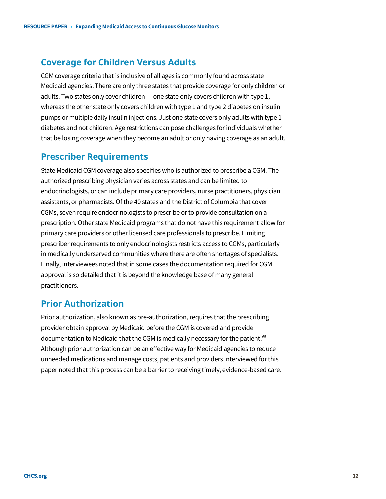### **Coverage for Children Versus Adults**

CGM coverage criteria that is inclusive of all ages is commonly found across state Medicaid agencies. There are only three states that provide coverage for only children or adults. Two states only cover children ― one state only covers children with type 1, whereas the other state only covers children with type 1 and type 2 diabetes on insulin pumps or multiple daily insulin injections. Just one state covers only adults with type 1 diabetes and not children. Age restrictions can pose challenges for individuals whether that be losing coverage when they become an adult or only having coverage as an adult.

### **Prescriber Requirements**

State Medicaid CGM coverage also specifies who is authorized to prescribe a CGM. The authorized prescribing physician varies across states and can be limited to endocrinologists, or can include primary care providers, nurse practitioners, physician assistants, or pharmacists. Of the 40 states and the District of Columbia that cover CGMs, seven require endocrinologists to prescribe or to provide consultation on a prescription. Other state Medicaid programs that do not have this requirement allow for primary care providers or other licensed care professionals to prescribe. Limiting prescriber requirements to only endocrinologists restricts access to CGMs, particularly in medically underserved communities where there are often shortages of specialists. Finally, interviewees noted that in some cases the documentation required for CGM approval is so detailed that it is beyond the knowledge base of many general practitioners.

### **Prior Authorization**

Prior authorization, also known as pre-authorization, requires that the prescribing provider obtain approval by Medicaid before the CGM is covered and provide documentation to Medicaid that the CGM is medically necessary for the patient.<sup>[65](#page-34-15)</sup> Although prior authorization can be an effective way for Medicaid agencies to reduce unneeded medications and manage costs, patients and providers interviewed for this paper noted that this process can be a barrier to receiving timely, evidence-based care.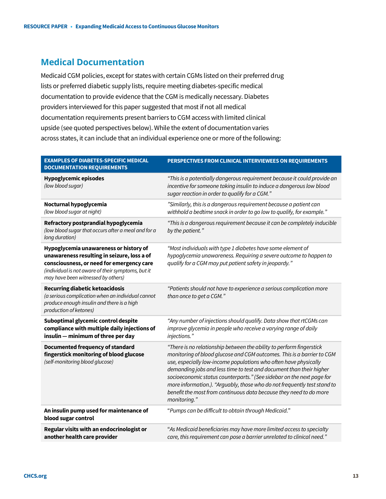### **Medical Documentation**

Medicaid CGM policies, except for states with certain CGMs listed on their preferred drug lists or preferred diabetic supply lists, require meeting diabetes-specific medical documentation to provide evidence that the CGM is medically necessary. Diabetes providers interviewed for this paper suggested that most if not all medical documentation requirements present barriers to CGM access with limited clinical upside (see quoted perspectives below). While the extent of documentation varies across states, it can include that an individual experience one or more of the following:

| <b>EXAMPLES OF DIABETES-SPECIFIC MEDICAL</b><br><b>DOCUMENTATION REQUIREMENTS</b>                                                                                                                                              | PERSPECTIVES FROM CLINICAL INTERVIEWEES ON REQUIREMENTS                                                                                                                                                                                                                                                                                                                                                                                                                                                                              |
|--------------------------------------------------------------------------------------------------------------------------------------------------------------------------------------------------------------------------------|--------------------------------------------------------------------------------------------------------------------------------------------------------------------------------------------------------------------------------------------------------------------------------------------------------------------------------------------------------------------------------------------------------------------------------------------------------------------------------------------------------------------------------------|
| <b>Hypoglycemic episodes</b><br>(low blood sugar)                                                                                                                                                                              | "This is a potentially dangerous requirement because it could provide an<br>incentive for someone taking insulin to induce a dangerous low blood<br>sugar reaction in order to qualify for a CGM."                                                                                                                                                                                                                                                                                                                                   |
| Nocturnal hypoglycemia<br>(low blood sugar at night)                                                                                                                                                                           | "Similarly, this is a dangerous requirement because a patient can<br>withhold a bedtime snack in order to go low to qualify, for example."                                                                                                                                                                                                                                                                                                                                                                                           |
| Refractory postprandial hypoglycemia<br>(low blood sugar that occurs after a meal and for a<br>long duration)                                                                                                                  | "This is a dangerous requirement because it can be completely inducible<br>by the patient."                                                                                                                                                                                                                                                                                                                                                                                                                                          |
| Hypoglycemia unawareness or history of<br>unawareness resulting in seizure, loss a of<br>consciousness, or need for emergency care<br>(individual is not aware of their symptoms, but it<br>may have been witnessed by others) | "Most individuals with type 1 diabetes have some element of<br>hypoglycemia unawareness. Requiring a severe outcome to happen to<br>qualify for a CGM may put patient safety in jeopardy."                                                                                                                                                                                                                                                                                                                                           |
| <b>Recurring diabetic ketoacidosis</b><br>(a serious complication when an individual cannot<br>produce enough insulin and there is a high<br>production of ketones)                                                            | "Patients should not have to experience a serious complication more<br>than once to get a CGM."                                                                                                                                                                                                                                                                                                                                                                                                                                      |
| Suboptimal glycemic control despite<br>compliance with multiple daily injections of<br>insulin - minimum of three per day                                                                                                      | "Any number of injections should qualify. Data show that rtCGMs can<br>improve glycemia in people who receive a varying range of daily<br>injections."                                                                                                                                                                                                                                                                                                                                                                               |
| Documented frequency of standard<br>fingerstick monitoring of blood glucose<br>(self-monitoring blood glucose)                                                                                                                 | "There is no relationship between the ability to perform fingerstick<br>monitoring of blood glucose and CGM outcomes. This is a barrier to CGM<br>use, especially low-income populations who often have physically<br>demanding jobs and less time to test and document than their higher<br>socioeconomic status counterparts." (See sidebar on the next page for<br>more information.). "Arguably, those who do not frequently test stand to<br>benefit the most from continuous data because they need to do more<br>monitoring." |
| An insulin pump used for maintenance of<br>blood sugar control                                                                                                                                                                 | "Pumps can be difficult to obtain through Medicaid."                                                                                                                                                                                                                                                                                                                                                                                                                                                                                 |
| Regular visits with an endocrinologist or<br>another health care provider                                                                                                                                                      | "As Medicaid beneficiaries may have more limited access to specialty<br>care, this requirement can pose a barrier unrelated to clinical need."                                                                                                                                                                                                                                                                                                                                                                                       |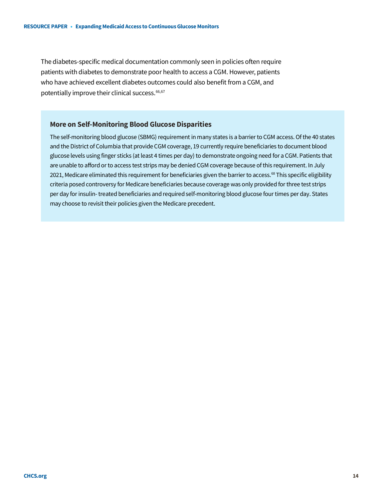The diabetes-specific medical documentation commonly seen in policies often require patients with diabetes to demonstrate poor health to access a CGM. However, patients who have achieved excellent diabetes outcomes could also benefit from a CGM, and potentially improve their clinical success.<sup>[66](#page-34-16)[,67](#page-34-17)</sup>

#### **More on Self-Monitoring Blood Glucose Disparities**

The self-monitoring blood glucose (SBMG) requirement in many states is a barrier to CGM access. Of the 40 states and the District of Columbia that provide CGM coverage, 19 currently require beneficiaries to document blood glucose levels using finger sticks (at least 4 times per day) to demonstrate ongoing need for a CGM. Patients that are unable to afford or to access test strips may be denied CGM coverage because of this requirement. In July 2021, Medicare eliminated this requirement for beneficiaries given the barrier to access.<sup>[68](#page-34-18)</sup> This specific eligibility criteria posed controversy for Medicare beneficiaries because coverage was only provided for three test strips per day for insulin-treated beneficiaries and required self-monitoring blood glucose four times per day. States may choose to revisit their policies given the Medicare precedent.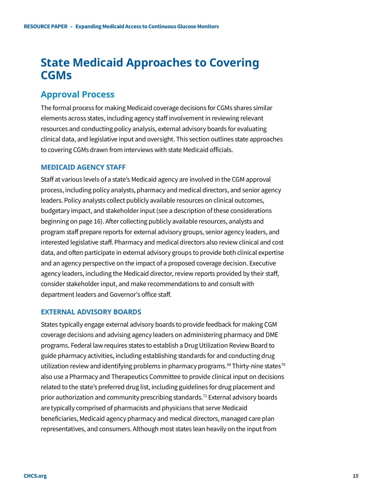# **State Medicaid Approaches to Covering CGMs**

### **Approval Process**

The formal process for making Medicaid coverage decisions for CGMs shares similar elements across states, including agency staff involvement in reviewing relevant resources and conducting policy analysis, external advisory boards for evaluating clinical data, and legislative input and oversight. This section outlines state approaches to covering CGMs drawn from interviews with state Medicaid officials.

### **MEDICAID AGENCY STAFF**

Staff at various levels of a state's Medicaid agency are involved in the CGM approval process, including policy analysts, pharmacy and medical directors, and senior agency leaders. Policy analysts collect publicly available resources on clinical outcomes, budgetary impact, and stakeholder input (see a description of these considerations beginning on page 16). After collecting publicly available resources, analysts and program staff prepare reports for external advisory groups, senior agency leaders, and interested legislative staff. Pharmacy and medical directors also review clinical and cost data, and often participate in external advisory groups to provide both clinical expertise and an agency perspective on the impact of a proposed coverage decision. Executive agency leaders, including the Medicaid director, review reports provided by their staff, consider stakeholder input, and make recommendations to and consult with department leaders and Governor's office staff.

### **EXTERNAL ADVISORY BOARDS**

States typically engage external advisory boards to provide feedback for making CGM coverage decisions and advising agency leaders on administering pharmacy and DME programs. Federal law requires states to establish a Drug Utilization Review Board to guide pharmacy activities, including establishing standards for and conducting drug utilization review and identifying problems in pharmacy programs.<sup>[69](#page-34-19)</sup> Thirty-nine states<sup>[70](#page-34-20)</sup> also use a Pharmacy and Therapeutics Committee to provide clinical input on decisions related to the state's preferred drug list, including guidelines for drug placement and prior authorization and community prescribing standards.<sup>[71](#page-34-21)</sup> External advisory boards are typically comprised of pharmacists and physicians that serve Medicaid beneficiaries, Medicaid agency pharmacy and medical directors, managed care plan representatives, and consumers. Although most states lean heavily on the input from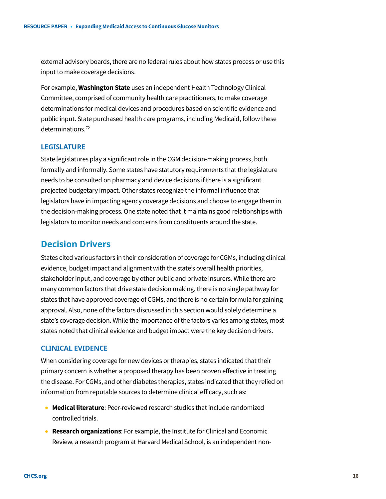external advisory boards, there are no federal rules about how states process or use this input to make coverage decisions.

For example, **Washington State** uses an independent Health Technology Clinical Committee, comprised of community health care practitioners, to make coverage determinations for medical devices and procedures based on scientific evidence and public input. State purchased health care programs, including Medicaid, follow these determinations.<sup>[72](#page-34-22)</sup>

### **LEGISLATURE**

State legislatures play a significant role in the CGM decision-making process, both formally and informally. Some states have statutory requirements that the legislature needs to be consulted on pharmacy and device decisions if there is a significant projected budgetary impact. Other states recognize the informal influence that legislators have in impacting agency coverage decisions and choose to engage them in the decision-making process.One state noted that it maintains good relationships with legislators to monitor needs and concerns from constituents around the state.

### **Decision Drivers**

States cited various factors in their consideration of coverage for CGMs, including clinical evidence, budget impact and alignment with the state's overall health priorities, stakeholder input, and coverage by other public and private insurers. While there are many common factors that drive state decision making, there is no single pathway for states that have approved coverage of CGMs, and there is no certain formula for gaining approval. Also, none of the factors discussed in this section would solely determine a state's coverage decision. While the importance of the factors varies among states, most states noted that clinical evidence and budget impact were the key decision drivers.

### **CLINICAL EVIDENCE**

When considering coverage for new devices or therapies, states indicated that their primary concern is whether a proposed therapy has been proven effective in treating the disease. For CGMs, and other diabetes therapies, states indicated that they relied on information from reputable sources to determine clinical efficacy, such as:

- **Medical literature**: Peer-reviewed research studies that include randomized controlled trials.
- **Research organizations**: For example, the Institute for Clinical and Economic Review, a research program at Harvard Medical School, is an independent non-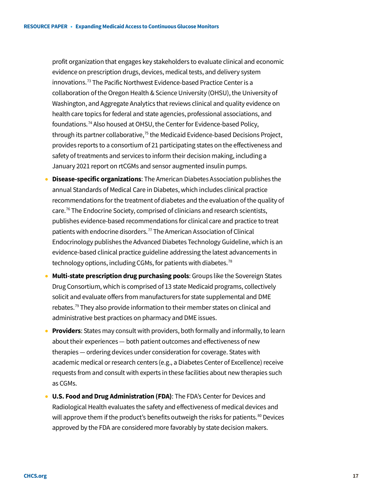profit organization that engages key stakeholders to evaluate clinical and economic evidence on prescription drugs, devices, medical tests, and delivery system innovations.[73](#page-34-23) The Pacific Northwest Evidence-based Practice Center is a collaboration of the Oregon Health & Science University (OHSU), the University of Washington, and Aggregate Analytics that reviews clinical and quality evidence on health care topics for federal and state agencies, professional associations, and foundations.[74](#page-34-24) Also housed at OHSU, the Center for Evidence-based Policy, through its partner collaborative,<sup>75</sup> the Medicaid Evidence-based Decisions Project, provides reports to a consortium of 21 participating states on the effectiveness and safety of treatments and services to inform their decision making, including a January 2021 report on rtCGMs and sensor augmented insulin pumps.

- **Disease-specific organizations**: The American Diabetes Association publishes the annual Standards of Medical Care in Diabetes, which includes clinical practice recommendations for the treatment of diabetes and the evaluation of the quality of care.<sup>[76](#page-34-26)</sup> The Endocrine Society, comprised of clinicians and research scientists, publishes evidence-based recommendations for clinical care and practice to treat patients with endocrine disorders.[77](#page-34-27) The American Association of Clinical Endocrinology publishes the Advanced Diabetes Technology Guideline, which is an evidence-based clinical practice guideline addressing the latest advancements in technology options, including CGMs, for patients with diabetes.<sup>[78](#page-34-28)</sup>
- **Multi-state prescription drug purchasing pools**: Groups like the Sovereign States Drug Consortium, which is comprised of 13 state Medicaid programs, collectively solicit and evaluate offers from manufacturers for state supplemental and DME rebates.[79](#page-34-0) They also provide information to their member states on clinical and administrative best practices on pharmacy and DME issues.
- **Providers**: States may consult with providers, both formally and informally, to learn about their experiences — both patient outcomes and effectiveness of new therapies — ordering devices under consideration for coverage. States with academic medical or research centers (e.g., a Diabetes Center of Excellence) receive requests from and consult with experts in these facilities about new therapies such as CGMs.
- **U.S. Food and Drug Administration (FDA)**: The FDA's Center for Devices and Radiological Health evaluates the safety and effectiveness of medical devices and will approve them if the product's benefits outweigh the risks for patients.<sup>[80](#page-34-29)</sup> Devices approved by the FDA are considered more favorably by state decision makers.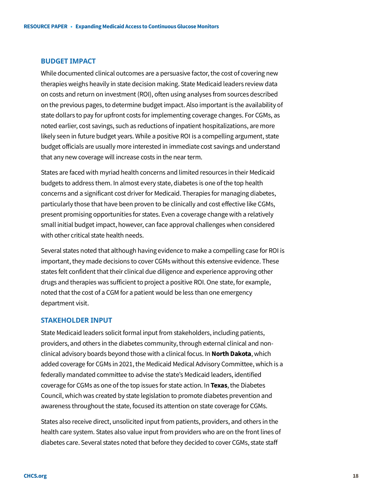#### **BUDGET IMPACT**

While documented clinical outcomes are a persuasive factor, the cost of covering new therapies weighs heavily in state decision making. State Medicaid leaders review data on costs and return on investment (ROI), often using analyses from sources described on the previous pages, to determine budget impact. Also important is the availability of state dollars to pay for upfront costs for implementing coverage changes. For CGMs, as noted earlier, cost savings, such as reductions of inpatient hospitalizations, are more likely seen in future budget years. While a positive ROI is a compelling argument, state budget officials are usually more interested in immediate cost savings and understand that any new coverage will increase costs in the near term.

States are faced with myriad health concerns and limited resources in their Medicaid budgets to address them. In almost every state, diabetes is one of the top health concerns and a significant cost driver for Medicaid. Therapies for managing diabetes, particularly those that have been proven to be clinically and cost effective like CGMs, present promising opportunities for states. Even a coverage change with a relatively small initial budget impact, however, can face approval challenges when considered with other critical state health needs.

Several states noted that although having evidence to make a compelling case for ROI is important, they made decisions to cover CGMs without this extensive evidence. These states felt confident that their clinical due diligence and experience approving other drugs and therapies was sufficient to project a positive ROI. One state, for example, noted that the cost of a CGM for a patient would be less than one emergency department visit.

#### **STAKEHOLDER INPUT**

State Medicaid leaders solicit formal input from stakeholders, including patients, providers, and others in the diabetes community, through external clinical and nonclinical advisory boards beyond those with a clinical focus. In **North Dakota**, which added coverage for CGMs in 2021, the Medicaid Medical Advisory Committee, which is a federally mandated committee to advise the state's Medicaid leaders, identified coverage for CGMs as one of the top issues for state action. In **Texas**, the Diabetes Council, which was created by state legislation to promote diabetes prevention and awareness throughout the state, focused its attention on state coverage for CGMs.

States also receive direct, unsolicited input from patients, providers, and others in the health care system. States also value input from providers who are on the front lines of diabetes care. Several states noted that before they decided to cover CGMs, state staff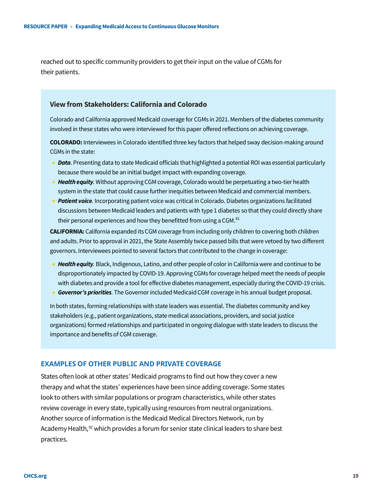reached out to specific community providers to get their input on the value of CGMs for their patients.

### **View from Stakeholders: California and Colorado**

Colorado and California approved Medicaid coverage for CGMs in 2021. Members of the diabetes community involved in these states who were interviewed for this paper offered reflections on achieving coverage.

**COLORADO:** Interviewees in Colorado identified three key factors that helped sway decision-making around CGMs in the state:

- *Data*. Presenting data to state Medicaid officials that highlighted a potential ROI was essential particularly because there would be an initial budget impact with expanding coverage.
- *Health equity.* Without approving CGM coverage, Colorado would be perpetuating a two-tier health system in the state that could cause further inequities between Medicaid and commercial members.
- *Patient voice.* Incorporating patient voice was critical in Colorado. Diabetes organizations facilitated discussions between Medicaid leaders and patients with type 1 diabetes so that they could directly share their personal experiences and how they benefitted from using a CGM.<sup>[81](#page-34-30)</sup>

**CALIFORNIA:** California expanded its CGM coverage from including only children to covering both children and adults. Prior to approval in 2021, the State Assembly twice passed bills that were vetoed by two different governors. Interviewees pointed to several factors that contributed to the change in coverage:

- *Health equity.* Black, Indigenous, Latino, and other people of color in California were and continue to be disproportionately impacted by COVID-19. Approving CGMs for coverage helped meet the needs of people with diabetes and provide a tool for effective diabetes management, especially during the COVID-19 crisis.
- *Governor's priorities.* The Governor included Medicaid CGM coverage in his annual budget proposal.

In both states, forming relationships with state leaders was essential.The diabetes community and key stakeholders (e.g., patient organizations, state medical associations, providers, and social justice organizations) formed relationships and participated in ongoing dialogue with state leaders to discuss the importance and benefits of CGM coverage.

### **EXAMPLES OF OTHER PUBLIC AND PRIVATE COVERAGE**

States often look at other states' Medicaid programs to find out how they cover a new therapy and what the states' experiences have been since adding coverage. Some states look to others with similar populations or program characteristics, while other states review coverage in every state, typically using resources from neutral organizations. Another source of information is the Medicaid Medical Directors Network, run by Academy Health,<sup>[82](#page-34-31)</sup> which provides a forum for senior state clinical leaders to share best practices.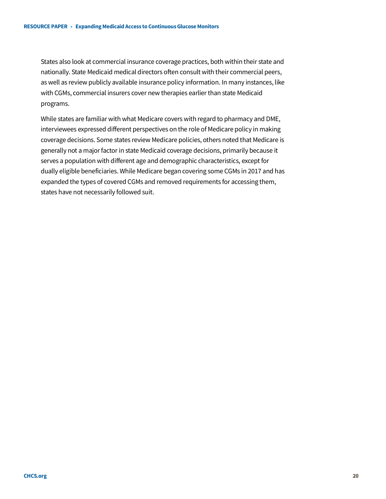States also look at commercial insurance coverage practices, both within their state and nationally. State Medicaid medical directors often consult with their commercial peers, as well as review publicly available insurance policy information. In many instances, like with CGMs, commercial insurers cover new therapies earlier than state Medicaid programs.

While states are familiar with what Medicare covers with regard to pharmacy and DME, interviewees expressed different perspectives on the role of Medicare policy in making coverage decisions. Some states review Medicare policies, others noted that Medicare is generally not a major factor in state Medicaid coverage decisions, primarily because it serves a population with different age and demographic characteristics, except for dually eligible beneficiaries. While Medicare began covering some CGMs in 2017 and has expanded the types of covered CGMs and removed requirements for accessing them, states have not necessarily followed suit.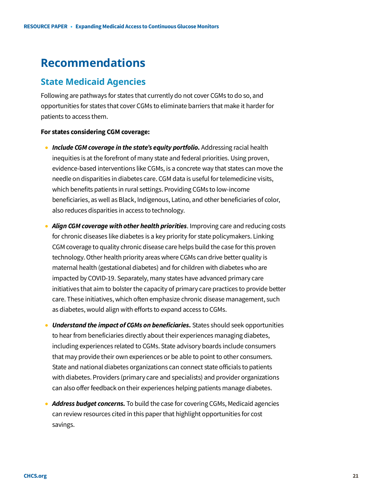# **Recommendations**

# **State Medicaid Agencies**

Following are pathways for states that currently do not cover CGMs to do so, and opportunities for states that cover CGMs to eliminate barriers that make it harder for patients to access them.

#### **For states considering CGM coverage:**

- *Include CGM coverage in the state's equity portfolio.* Addressing racial health inequities is at the forefront of many state and federal priorities. Using proven, evidence-based interventions like CGMs, is a concrete way that states can move the needle on disparities in diabetes care. CGM data is useful for telemedicine visits, which benefits patients in rural settings. Providing CGMs to low-income beneficiaries, as well as Black, Indigenous, Latino, and other beneficiaries of color, also reduces disparities in access to technology.
- *Align CGM coverage with other health priorities*. Improving care and reducing costs for chronic diseases like diabetes is a key priority for state policymakers. Linking CGM coverage to quality chronic disease care helps build the case for this proven technology. Other health priority areas where CGMs can drive better quality is maternal health (gestational diabetes) and for children with diabetes who are impacted by COVID-19. Separately, many states have advanced primary care initiatives that aim to bolster the capacity of primary care practices to provide better care. These initiatives, which often emphasize chronic disease management, such as diabetes, would align with efforts to expand access to CGMs.
- *Understand the impact of CGMs on beneficiaries.* States should seek opportunities to hear from beneficiaries directly about their experiences managing diabetes, including experiences related to CGMs. State advisory boards include consumers that may provide their own experiences or be able to point to other consumers. State and national diabetes organizations can connect state officials to patients with diabetes. Providers (primary care and specialists) and provider organizations can also offer feedback on their experiences helping patients manage diabetes.
- *Address budget concerns.* To build the case for covering CGMs, Medicaid agencies can review resources cited in this paper that highlight opportunities for cost savings.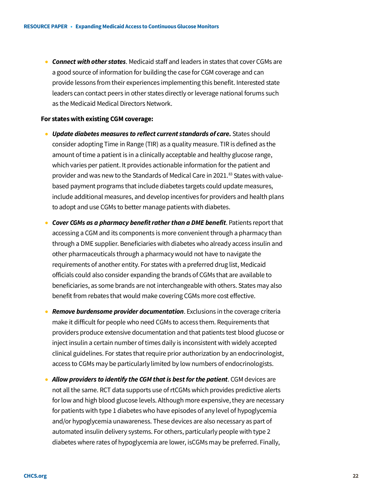• *Connect with other states*. Medicaid staff and leaders in states that cover CGMs are a good source of information for building the case for CGM coverage and can provide lessons from their experiences implementing this benefit. Interested state leaders can contact peers in other states directly or leverage national forums such as the Medicaid Medical Directors Network.

#### **For states with existing CGM coverage:**

- *Update diabetes measures to reflect current standards of care.* States should consider adopting Time in Range (TIR) as a quality measure. TIR is defined as the amount of time a patient is in a clinically acceptable and healthy glucose range, which varies per patient. It provides actionable information for the patient and provider and was new to the Standards of Medical Care in 2021.<sup>[83](#page-34-32)</sup> States with valuebased payment programs that include diabetes targets could update measures, include additional measures, and develop incentives for providers and health plans to adopt and use CGMs to better manage patients with diabetes.
- *Cover CGMs as a pharmacy benefit rather than a DME benefit*. Patients report that accessing a CGM and its components is more convenient through a pharmacy than through a DME supplier. Beneficiaries with diabetes who already access insulin and other pharmaceuticals through a pharmacy would not have to navigate the requirements of another entity. For states with a preferred drug list, Medicaid officials could also consider expanding the brands of CGMs that are available to beneficiaries, as some brands are not interchangeable with others. States may also benefit from rebates that would make covering CGMs more cost effective.
- *Remove burdensome provider documentation*. Exclusions in the coverage criteria make it difficult for people who need CGMs to access them. Requirements that providers produce extensive documentation and that patients test blood glucose or inject insulin a certain number of times daily is inconsistent with widely accepted clinical guidelines. For states that require prior authorization by an endocrinologist, access to CGMs may be particularly limited by low numbers of endocrinologists.
- *Allow providers to identify the CGM that is best for the patient*. CGM devices are not all the same. RCT data supports use of rtCGMs which provides predictive alerts for low and high blood glucose levels. Although more expensive, they are necessary for patients with type 1 diabetes who have episodes of any level of hypoglycemia and/or hypoglycemia unawareness. These devices are also necessary as part of automated insulin delivery systems. For others, particularly people with type 2 diabetes where rates of hypoglycemia are lower, isCGMs may be preferred. Finally,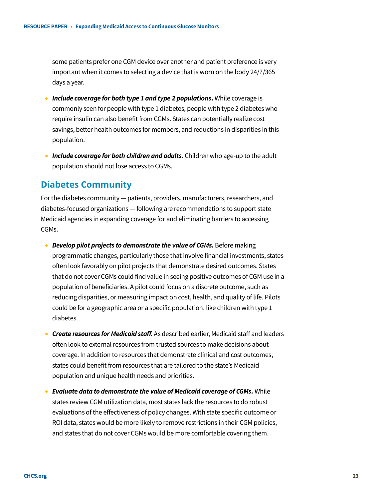some patients prefer one CGM device over another and patient preference is very important when it comes to selecting a device that is worn on the body 24/7/365 days a year.

- **Include coverage for both type 1 and type 2 populations.** While coverage is commonly seen for people with type 1 diabetes, people with type 2 diabetes who require insulin can also benefit from CGMs. States can potentially realize cost savings, better health outcomes for members, and reductions in disparities in this population.
- *Include coverage for both children and adults*. Children who age-up to the adult population should not lose access to CGMs.

# **Diabetes Community**

For the diabetes community — patients, providers, manufacturers, researchers, and diabetes-focused organizations — following are recommendations to support state Medicaid agencies in expanding coverage for and eliminating barriers to accessing CGMs.

- *Develop pilot projects to demonstrate the value of CGMs.* Before making programmatic changes, particularly those that involve financial investments, states often look favorably on pilot projects that demonstrate desired outcomes. States that do not cover CGMs could find value in seeing positive outcomes of CGM use in a population of beneficiaries. A pilot could focus on a discrete outcome, such as reducing disparities, or measuring impact on cost, health, and quality of life. Pilots could be for a geographic area or a specific population, like children with type 1 diabetes.
- *Create resources for Medicaid staff.* As described earlier, Medicaid staff and leaders often look to external resources from trusted sources to make decisions about coverage. In addition to resources that demonstrate clinical and cost outcomes, states could benefit from resources that are tailored to the state's Medicaid population and unique health needs and priorities.
- *Evaluate data to demonstrate the value of Medicaid coverage of CGMs.* While states review CGM utilization data, most states lack the resources to do robust evaluations of the effectiveness of policy changes. With state specific outcome or ROI data, states would be more likely to remove restrictions in their CGM policies, and states that do not cover CGMs would be more comfortable covering them.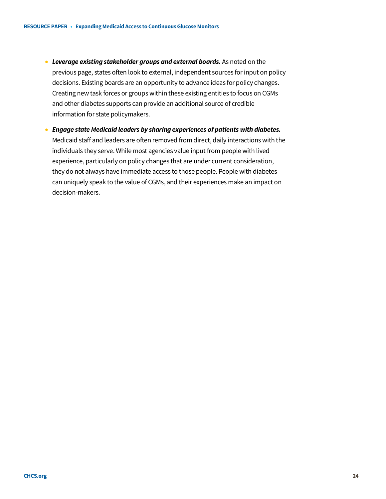- *Leverage existing stakeholder groups and external boards.* As noted on the previous page, states often look to external, independent sources for input on policy decisions. Existing boards are an opportunity to advance ideas for policy changes. Creating new task forces or groups within these existing entities to focus on CGMs and other diabetes supports can provide an additional source of credible information for state policymakers.
- *Engage state Medicaid leaders by sharing experiences of patients with diabetes.* Medicaid staff and leaders are often removed from direct, daily interactions with the individuals they serve. While most agencies value input from people with lived experience, particularly on policy changes that are under current consideration, they do not always have immediate access to those people. People with diabetes can uniquely speak to the value of CGMs, and their experiences make an impact on decision-makers.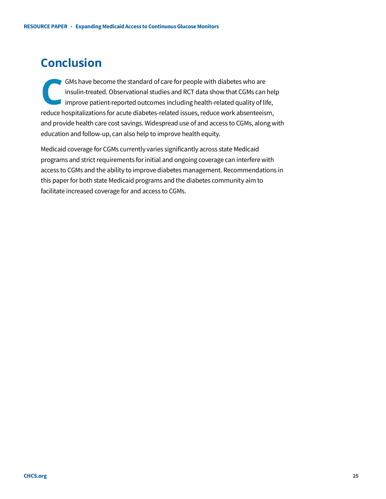# **Conclusion**

GMs have become the standard of care for people with diabetes who are insulin-treated. Observational studies and RCT data show that CGMs can help I improve patient-reported outcomes including health-related quality of life, GMs have become the standard of care for people with diabetes who are<br>insulin-treated. Observational studies and RCT data show that CGMs can hel<br>improve patient-reported outcomes including health-related quality of life,<br>r and provide health care cost savings. Widespread use of and access to CGMs, along with education and follow-up, can also help to improve health equity.

Medicaid coverage for CGMs currently varies significantly across state Medicaid programs and strict requirements for initial and ongoing coverage can interfere with access to CGMs and the ability to improve diabetes management. Recommendations in this paper for both state Medicaid programs and the diabetes community aim to facilitate increased coverage for and access to CGMs.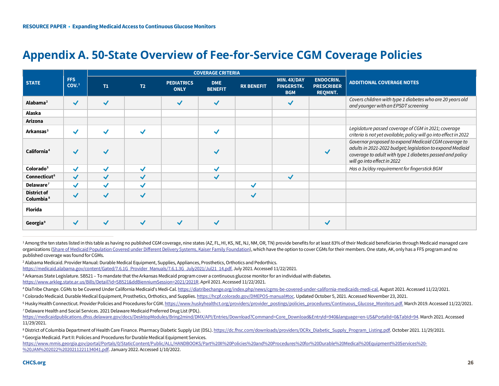# <span id="page-25-8"></span><span id="page-25-7"></span><span id="page-25-6"></span><span id="page-25-5"></span><span id="page-25-4"></span><span id="page-25-3"></span><span id="page-25-2"></span><span id="page-25-1"></span><span id="page-25-0"></span>**Appendix A. 50-State Overview of Fee-for-Service CGM Coverage Policies**

|                                             |                                |              |                          | <b>COVERAGE CRITERIA</b>         |                              |                   |                                                |                                                         |                                                                                                                                                                                                              |
|---------------------------------------------|--------------------------------|--------------|--------------------------|----------------------------------|------------------------------|-------------------|------------------------------------------------|---------------------------------------------------------|--------------------------------------------------------------------------------------------------------------------------------------------------------------------------------------------------------------|
| <b>STATE</b>                                | <b>FFS</b><br>COV <sub>1</sub> | T1           | T <sub>2</sub>           | <b>PEDIATRICS</b><br><b>ONLY</b> | <b>DME</b><br><b>BENEFIT</b> | <b>RX BENEFIT</b> | MIN. 4X/DAY<br><b>FINGERSTK.</b><br><b>BGM</b> | <b>ENDOCRIN.</b><br><b>PRESCRIBER</b><br><b>REQMNT.</b> | <b>ADDITIONAL COVERAGE NOTES</b>                                                                                                                                                                             |
| Alabama <sup>2</sup>                        | $\checkmark$                   | $\checkmark$ |                          | $\checkmark$                     | $\checkmark$                 |                   | $\checkmark$                                   |                                                         | Covers children with type 1 diabetes who are 20 years old<br>and younger with an EPSDT screening                                                                                                             |
| Alaska                                      |                                |              |                          |                                  |                              |                   |                                                |                                                         |                                                                                                                                                                                                              |
| Arizona                                     |                                |              |                          |                                  |                              |                   |                                                |                                                         |                                                                                                                                                                                                              |
| Arkansas <sup>3</sup>                       | $\checkmark$                   |              |                          |                                  |                              |                   |                                                |                                                         | Legislature passed coverage of CGM in 2021; coverage<br>criteria is not yet available; policy will go into effect in 2022                                                                                    |
| California <sup>4</sup>                     | $\checkmark$                   |              |                          |                                  |                              |                   |                                                |                                                         | Governor proposed to expand Medicaid CGM coverage to<br>adults in 2021-2022 budget; legislation to expand Mediaid<br>coverage to adult with type 1 diabetes passed and policy<br>will go into effect in 2022 |
| Colorado <sup>5</sup>                       | ✔                              | ✓            | ✔                        |                                  |                              |                   |                                                |                                                         | Has a 3x/day requirement for fingerstick BGM                                                                                                                                                                 |
| Connecticut <sup>6</sup>                    | $\checkmark$                   | $\checkmark$ | $\overline{\phantom{a}}$ |                                  |                              |                   | $\checkmark$                                   |                                                         |                                                                                                                                                                                                              |
| Delaware <sup><math>7</math></sup>          | ✔                              | ✓            | ↵                        |                                  |                              | ✓                 |                                                |                                                         |                                                                                                                                                                                                              |
| <b>District of</b><br>Columbia <sup>8</sup> | $\checkmark$                   | $\checkmark$ | $\overline{\phantom{a}}$ |                                  |                              |                   |                                                |                                                         |                                                                                                                                                                                                              |
| <b>Florida</b>                              |                                |              |                          |                                  |                              |                   |                                                |                                                         |                                                                                                                                                                                                              |
| Georgia <sup>9</sup>                        | $\checkmark$                   |              |                          |                                  |                              |                   |                                                |                                                         |                                                                                                                                                                                                              |

<sup>1</sup> Among the ten states listed in this table as having no published CGM coverage, nine states (AZ, FL, HI, KS, NE, NJ, NM, OR, TN) provide benefits for at least 83% of their Medicaid beneficiaries through Medicaid managed organizations [\(Share of Medicaid Population Covered under Different Delivery Systems, Kaiser Family Foundation\),](https://www.kff.org/medicaid/state-indicator/share-of-medicaid-population-covered-under-different-delivery-systems/?currentTimeframe=0&sortModel=%7B%22colId%22:%22Location%22,%22sort%22:%22asc%22%7D) which have the option to cover CGMs for their members. One state, AK, only has a FFS program and no published coverage was found for CGMs.

<sup>2</sup> Alabama Medicaid. Provider Manual: Durable Medical Equipment, Supplies, Appliances, Prosthetics, Orthotics and Pedorthics. [https://medicaid.alabama.gov/content/Gated/7.6.1G\\_Provider\\_Manuals/7.6.1.3G\\_July2021/Jul21\\_14.pdf.](https://medicaid.alabama.gov/content/Gated/7.6.1G_Provider_Manuals/7.6.1.3G_July2021/Jul21_14.pdf) July 2021. Accessed 11/22/2021.

3 Arkansas State Legislature. SB521 – To mandate that the Arkansas Medicaid program cover a continuous glucose monitor for an individual with diabetes. [https://www.arkleg.state.ar.us/Bills/Detail?id=SB521&ddBienniumSession=2021/2021R.](https://www.arkleg.state.ar.us/Bills/Detail?id=SB521&ddBienniumSession=2021/2021R) April 2021. Accessed 11/22/2021.

<sup>4</sup> DiaTribe Change. CGMs to be Covered Under California Medicaid's Medi-Cal[. https://diatribechange.org/index.php/news/cgms-be-covered-under-california-medicaids-medi-cal.](https://diatribechange.org/index.php/news/cgms-be-covered-under-california-medicaids-medi-cal.) August 2021. Accessed 11/22/2021.

5 Colorado Medicaid. Durable Medical Equipment, Prosthetics, Orthotics, and Supplies. [https://hcpf.colorado.gov/DMEPOS-manual#toc.](https://hcpf.colorado.gov/DMEPOS-manual#toc) Updated October 5, 2021. Accessed November 23, 2021.

<sup>6</sup> Husky Health Connecticut. Provider Policies and Procedures for CGM[. https://www.huskyhealthct.org/providers/provider\\_postings/policies\\_procedures/Continuous\\_Glucose\\_Monitors.pdf.](https://www.huskyhealthct.org/providers/provider_postings/policies_procedures/Continuous_Glucose_Monitors.pdf.%20Updated%20March%2027) March 2019. Accessed 11/22/2021. *<sup>7</sup>* Delaware Health and Social Services. 2021 Delaware Medicaid Preferred Drug List (PDL).

[https://medicaidpublications.dhss.delaware.gov/docs/DesktopModules/Bring2mind/DMX/API/Entries/Download?Command=Core\\_Download&EntryId=940&language=en-US&PortalId=0&TabId=94.](https://medicaidpublications.dhss.delaware.gov/docs/DesktopModules/Bring2mind/DMX/API/Entries/Download?Command=Core_Download&EntryId=940&language=en-US&PortalId=0&TabId=94) March 2021. Accessed 11/29/2021.

<sup>8</sup> District of Columbia Department of Health Care Finance. Pharmacy Diabetic Supply List (DSL)[. https://dc.fhsc.com/downloads/providers/DCRx\\_Diabetic\\_Supply\\_Program\\_Listing.pdf.](https://dc.fhsc.com/downloads/providers/DCRx_Diabetic_Supply_Program_Listing.pdf)October 2021. 11/29/2021.

<sup>9</sup> Georgia Medicaid. Part II: Policies and Procedures for Durable Medical Equipment Services.

https://www.mmis.georgia.gov/portal/Portals/0/StaticContent/Public/ALL/HANDBOOKS/Part%20II%20Policies%20and%20Procedures%20for%20Durable%20Medical%20Equipment%20Services%20-%20JAN%202022%2020211221134041.pdf. January 2022. Accessed 1/10/2022.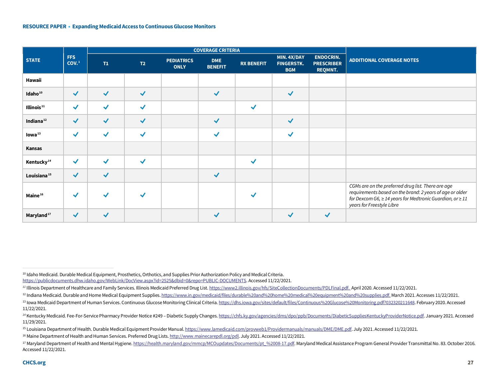<span id="page-26-7"></span><span id="page-26-6"></span><span id="page-26-5"></span><span id="page-26-4"></span><span id="page-26-3"></span><span id="page-26-2"></span><span id="page-26-1"></span><span id="page-26-0"></span>

|                         |                          |              |              | <b>COVERAGE CRITERIA</b>         |                              |                      |                                                |                                                         |                                                                                                                                                                                                                    |
|-------------------------|--------------------------|--------------|--------------|----------------------------------|------------------------------|----------------------|------------------------------------------------|---------------------------------------------------------|--------------------------------------------------------------------------------------------------------------------------------------------------------------------------------------------------------------------|
| <b>STATE</b>            | FFS<br>COV. <sup>1</sup> | T1           | T2           | <b>PEDIATRICS</b><br><b>ONLY</b> | <b>DME</b><br><b>BENEFIT</b> | <b>RX BENEFIT</b>    | MIN. 4X/DAY<br><b>FINGERSTK.</b><br><b>BGM</b> | <b>ENDOCRIN.</b><br><b>PRESCRIBER</b><br><b>REQMNT.</b> | <b>ADDITIONAL COVERAGE NOTES</b>                                                                                                                                                                                   |
| Hawaii                  |                          |              |              |                                  |                              |                      |                                                |                                                         |                                                                                                                                                                                                                    |
| Idaho <sup>10</sup>     | $\blacktriangledown$     | $\checkmark$ | $\checkmark$ |                                  | $\blacktriangledown$         |                      | $\blacktriangledown$                           |                                                         |                                                                                                                                                                                                                    |
| Illinois <sup>11</sup>  | $\blacktriangledown$     | $\checkmark$ | $\checkmark$ |                                  |                              | $\blacktriangledown$ |                                                |                                                         |                                                                                                                                                                                                                    |
| Indiana <sup>12</sup>   | $\blacktriangledown$     | $\checkmark$ | $\checkmark$ |                                  | $\blacktriangledown$         |                      | $\checkmark$                                   |                                                         |                                                                                                                                                                                                                    |
| lowa <sup>13</sup>      | $\checkmark$             | $\checkmark$ | $\checkmark$ |                                  | ✔                            |                      | $\checkmark$                                   |                                                         |                                                                                                                                                                                                                    |
| Kansas                  |                          |              |              |                                  |                              |                      |                                                |                                                         |                                                                                                                                                                                                                    |
| Kentucky <sup>14</sup>  | $\blacktriangledown$     | $\checkmark$ | $\checkmark$ |                                  |                              | $\checkmark$         |                                                |                                                         |                                                                                                                                                                                                                    |
| Louisiana <sup>15</sup> | $\blacktriangledown$     | $\checkmark$ |              |                                  | $\blacktriangledown$         |                      |                                                |                                                         |                                                                                                                                                                                                                    |
| Maine <sup>16</sup>     | $\checkmark$             |              |              |                                  |                              |                      |                                                |                                                         | CGMs are on the preferred drug list. There are age<br>requirements based on the brand: 2 years of age or older<br>for Dexcom G6, $\geq$ 14 years for Medtronic Guardian, or $\geq$ 11<br>years for Freestyle Libre |
| Maryland <sup>17</sup>  | $\blacktriangledown$     | $\checkmark$ |              |                                  | $\checkmark$                 |                      | ✓                                              | $\blacktriangledown$                                    |                                                                                                                                                                                                                    |

<sup>10</sup> Idaho Medicaid. Durable Medical Equipment, Prosthetics, Orthotics, and Supplies Prior Authorization Policy and Medical Criteria. [https://publicdocuments.dhw.idaho.gov/WebLink/DocView.aspx?id=2525&dbid=0&repo=PUBLIC-DOCUMENTS.](https://publicdocuments.dhw.idaho.gov/WebLink/DocView.aspx?id=2525&dbid=0&repo=PUBLIC-DOCUMENTS) Accessed 11/22/2021.

*<sup>11</sup>* Illinois Department of Healthcare and Family Services. Illinois Medicaid Preferred Drug List[. https://www2.illinois.gov/hfs/SiteCollectionDocuments/PDLFinal.pdf. A](https://www2.illinois.gov/hfs/SiteCollectionDocuments/PDLFinal.pdf.%20Updated%20April%201)pril 2020. Accessed 11/22/2021.

<sup>12</sup> Indiana Medicaid. Durable and Home Medical Equipment Supplies[. https://www.in.gov/medicaid/files/durable%20and%20home%20medical%20equipment%20and%20supplies.pdf.](https://www.in.gov/medicaid/files/durable%20and%20home%20medical%20equipment%20and%20supplies.pdf) March 2021. Accesses 11/22/2021.

<sup>13</sup> Iowa Medicaid Department of Human Services. Continuous Glucose Monitoring Clinical Criteria[. https://dhs.iowa.gov/sites/default/files/Continuous%20Glucose%20Monitoring.pdf?032320211648.](https://dhs.iowa.gov/sites/default/files/Continuous%20Glucose%20Monitoring.pdf?032320211648) February 2020. Accessed 11/22/2021.

<sup>&</sup>lt;sup>14</sup> Kentucky Medicaid. Fee-For-Service Pharmacy Provider Notice #249 – Diabetic Supply Changes[. https://chfs.ky.gov/agencies/dms/dpo/ppb/Documents/DiabeticSuppliesKentuckyProviderNotice.pdf.](https://chfs.ky.gov/agencies/dms/dpo/ppb/Documents/DiabeticSuppliesKentuckyProviderNotice.pdf) January 2021. Accessed 11/29/2021.

<sup>&</sup>lt;sup>15</sup> Louisiana Department of Health. Durable Medical Equipment Provider Manual. https://www.lamedicaid.com/prowweb1/Providermanuals/manuals/DME/DME.pdf. July 2021. Accessed 11/22/2021.

<sup>16</sup> Maine Department of Health and Human Services. Preferred Drug Lists[. http://www.mainecarepdl.org/pdl.](http://www.mainecarepdl.org/pdl) July 2021. Accessed 11/22/2021.

<sup>&</sup>lt;sup>17</sup> Maryland Department of Health and Mental Hygiene[. https://health.maryland.gov/mmcp/MCOupdates/Documents/pt\\_%2008-17.pdf.](https://health.maryland.gov/mmcp/MCOupdates/Documents/pt_%2008-17.pdf) Maryland Medical Assistance Program General Provider Transmittal No. 83. October 2016. Accessed 11/22/2021.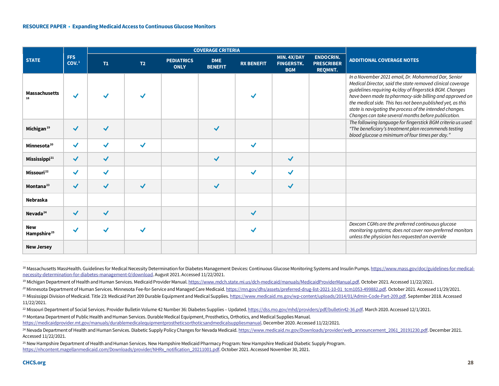<span id="page-27-7"></span><span id="page-27-6"></span><span id="page-27-5"></span><span id="page-27-4"></span><span id="page-27-3"></span><span id="page-27-2"></span><span id="page-27-1"></span><span id="page-27-0"></span>

|                                       |                                |              |                |                                  | <b>COVERAGE CRITERIA</b>     |                   |                                                |                                                         |                                                                                                                                                                                                                                                                                                                                                                                                                         |
|---------------------------------------|--------------------------------|--------------|----------------|----------------------------------|------------------------------|-------------------|------------------------------------------------|---------------------------------------------------------|-------------------------------------------------------------------------------------------------------------------------------------------------------------------------------------------------------------------------------------------------------------------------------------------------------------------------------------------------------------------------------------------------------------------------|
| <b>STATE</b>                          | <b>FFS</b><br>COV <sub>1</sub> | T1           | T <sub>2</sub> | <b>PEDIATRICS</b><br><b>ONLY</b> | <b>DME</b><br><b>BENEFIT</b> | <b>RX BENEFIT</b> | MIN. 4X/DAY<br><b>FINGERSTK.</b><br><b>BGM</b> | <b>ENDOCRIN.</b><br><b>PRESCRIBER</b><br><b>REQMNT.</b> | <b>ADDITIONAL COVERAGE NOTES</b>                                                                                                                                                                                                                                                                                                                                                                                        |
| <b>Massachusetts</b>                  | $\checkmark$                   |              |                |                                  |                              |                   |                                                |                                                         | In a November 2021 email, Dr. Mohammad Dar, Senior<br>Medical Director, said the state removed clinical coverage<br>guidelines requiring 4x/day of fingerstick BGM. Changes<br>have been made to pharmacy-side billing and approved on<br>the medical side. This has not been published yet, as this<br>state is navigating the process of the intended changes.<br>Changes can take several months before publication. |
| Michigan <sup>19</sup>                | $\blacktriangledown$           | ✔            |                |                                  |                              |                   |                                                |                                                         | The following language for fingerstick BGM criteria us used:<br>"The beneficiary's treatment plan recommends testing<br>blood glucose a minimum of four times per day."                                                                                                                                                                                                                                                 |
| Minnesota <sup>20</sup>               | $\checkmark$                   | ✓            | ✓              |                                  |                              |                   |                                                |                                                         |                                                                                                                                                                                                                                                                                                                                                                                                                         |
| Mississippi <sup>21</sup>             | $\checkmark$                   | ✔            |                |                                  | ✓                            |                   | $\checkmark$                                   |                                                         |                                                                                                                                                                                                                                                                                                                                                                                                                         |
| Missouri <sup>22</sup>                | $\checkmark$                   | ✓            |                |                                  |                              | $\checkmark$      | ✔                                              |                                                         |                                                                                                                                                                                                                                                                                                                                                                                                                         |
| Montana <sup>23</sup>                 | $\checkmark$                   | $\checkmark$ | $\checkmark$   |                                  | $\checkmark$                 |                   | $\checkmark$                                   |                                                         |                                                                                                                                                                                                                                                                                                                                                                                                                         |
| Nebraska                              |                                |              |                |                                  |                              |                   |                                                |                                                         |                                                                                                                                                                                                                                                                                                                                                                                                                         |
| Nevada <sup>24</sup>                  | $\checkmark$                   | $\checkmark$ |                |                                  |                              | $\checkmark$      |                                                |                                                         |                                                                                                                                                                                                                                                                                                                                                                                                                         |
| <b>New</b><br>Hampshire <sup>25</sup> | ✔                              |              |                |                                  |                              |                   |                                                |                                                         | Dexcom CGMs are the preferred continuous glucose<br>monitoring systems; does not cover non-preferred monitors<br>unless the physician has requested an override                                                                                                                                                                                                                                                         |
| <b>New Jersey</b>                     |                                |              |                |                                  |                              |                   |                                                |                                                         |                                                                                                                                                                                                                                                                                                                                                                                                                         |

18 Massachusetts MassHealth. Guidelines for Medical Necessity Determination for Diabetes Management Devices: Continuous Glucose Monitoring Systems and Insulin Pumps[. https://www.mass.gov/doc/guidelines-for-medical](https://www.mass.gov/doc/guidelines-for-medical-necessity-determination-for-diabetes-management-0/download)[necessity-determination-for-diabetes-management-0/download.](https://www.mass.gov/doc/guidelines-for-medical-necessity-determination-for-diabetes-management-0/download) August 2021. Accessed 11/22/2021.

<sup>21</sup> Mississippi Division of Medicaid. Title 23: Medicaid Part 209 Durable Equipment and Medical Supplies[. https://www.medicaid.ms.gov/wp-content/uploads/2014/01/Admin-Code-Part-209.pdf.](https://www.medicaid.ms.gov/wp-content/uploads/2014/01/Admin-Code-Part-209.pdf) September 2018. Accessed 11/22/2021.

<sup>22</sup> Missouri Department of Social Services. Provider Bulletin Volume 42 Number 36: Diabetes Supplies – Updated[. https://dss.mo.gov/mhd/providers/pdf/bulletin42-36.pdf.](https://dss.mo.gov/mhd/providers/pdf/bulletin42-36.pdf) March 2020. Accessed 12/1/2021.

<sup>23</sup> Montana Department of Public Health and Human Services. Durable Medical Equipment, Prosthetics, Orthotics, and Medical Supplies Manual.

[https://medicaidprovider.mt.gov/manuals/durablemedicalequipmentprostheticsorthoticsandmedicalsuppliesmanual.](https://medicaidprovider.mt.gov/manuals/durablemedicalequipmentprostheticsorthoticsandmedicalsuppliesmanual) December 2020. Accessed 11/22/2021.

<sup>25</sup> New Hampshire Department of Health and Human Services. New Hampshire Medicaid Pharmacy Program: New Hampshire Medicaid Diabetic Supply Program. [https://nhcontent.magellanmedicaid.com/Downloads/provider/NHRx\\_notification\\_20211001.pdf.](https://nhcontent.magellanmedicaid.com/Downloads/provider/NHRx_notification_20211001.pdf) October 2021. Accessed November 30, 2021.

<sup>19</sup> Michigan Department of Health and Human Services. Medicaid Provider Manual[. https://www.mdch.state.mi.us/dch-medicaid/manuals/MedicaidProviderManual.pdf.](https://www.mdch.state.mi.us/dch-medicaid/manuals/MedicaidProviderManual.pdf) October 2021. Accessed 11/22/2021.

<sup>&</sup>lt;sup>20</sup> Minnesota Department of Human Services. Minnesota Fee-for-Service and Managed Care Medicaid[. https://mn.gov/dhs/assets/preferred-drug-list-2021-10-01\\_tcm1053-499882.pdf.](https://mn.gov/dhs/assets/preferred-drug-list-2021-10-01_tcm1053-499882.pdf) October 2021. Accessed 11/29/2021.

<sup>&</sup>lt;sup>24</sup> Nevada Department of Health and Human Services. Diabetic Supply Policy Changes for Nevada Medicaid. [https://www.medicaid.nv.gov/Downloads/provider/web\\_announcement\\_2061\\_20191230.pdf.](https://www.medicaid.nv.gov/Downloads/provider/web_announcement_2061_20191230.pdf) December 2021. Accessed 11/22/2021.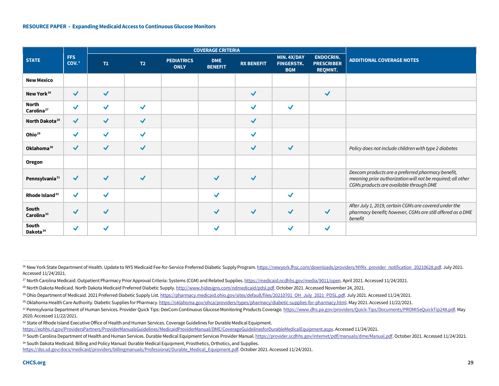<span id="page-28-8"></span><span id="page-28-7"></span><span id="page-28-6"></span><span id="page-28-5"></span><span id="page-28-4"></span><span id="page-28-3"></span><span id="page-28-2"></span><span id="page-28-1"></span><span id="page-28-0"></span>

|                                 |                      |              |                      | <b>COVERAGE CRITERIA</b>         |                              |                   |                                                |                                                         |                                                                                                                                                             |
|---------------------------------|----------------------|--------------|----------------------|----------------------------------|------------------------------|-------------------|------------------------------------------------|---------------------------------------------------------|-------------------------------------------------------------------------------------------------------------------------------------------------------------|
| <b>STATE</b>                    | <b>FFS</b><br>COV.1  | T1           | T2                   | <b>PEDIATRICS</b><br><b>ONLY</b> | <b>DME</b><br><b>BENEFIT</b> | <b>RX BENEFIT</b> | MIN. 4X/DAY<br><b>FINGERSTK.</b><br><b>BGM</b> | <b>ENDOCRIN.</b><br><b>PRESCRIBER</b><br><b>REQMNT.</b> | <b>ADDITIONAL COVERAGE NOTES</b>                                                                                                                            |
| <b>New Mexico</b>               |                      |              |                      |                                  |                              |                   |                                                |                                                         |                                                                                                                                                             |
| New York <sup>26</sup>          | $\blacktriangledown$ | $\checkmark$ |                      |                                  |                              | $\checkmark$      |                                                | $\blacktriangledown$                                    |                                                                                                                                                             |
| North<br>Carolina <sup>27</sup> | $\checkmark$         | ✓            | $\checkmark$         |                                  |                              | ✓                 | $\checkmark$                                   |                                                         |                                                                                                                                                             |
| North Dakota <sup>28</sup>      | $\checkmark$         | ✓            | $\checkmark$         |                                  |                              | $\checkmark$      |                                                |                                                         |                                                                                                                                                             |
| Ohio <sup>29</sup>              | $\checkmark$         | $\checkmark$ | $\checkmark$         |                                  |                              | ✓                 |                                                |                                                         |                                                                                                                                                             |
| Oklahoma <sup>30</sup>          | $\blacktriangledown$ | $\checkmark$ | $\blacktriangledown$ |                                  |                              | $\checkmark$      | $\blacktriangledown$                           |                                                         | Policy does not include children with type 2 diabetes                                                                                                       |
| <b>Oregon</b>                   |                      |              |                      |                                  |                              |                   |                                                |                                                         |                                                                                                                                                             |
| Pennsylvania <sup>31</sup>      | $\checkmark$         |              | ✓                    |                                  |                              |                   |                                                |                                                         | Dexcom products are a preferred pharmacy benefit,<br>meaning prior authorization will not be required; all other<br>CGMs products are available through DME |
| Rhode Island <sup>32</sup>      | $\checkmark$         | $\checkmark$ |                      |                                  | ✓                            |                   | ✓                                              |                                                         |                                                                                                                                                             |
| South<br>Carolina <sup>33</sup> | $\blacktriangledown$ | ✓            |                      |                                  | ✔                            | $\checkmark$      | $\checkmark$                                   | $\blacktriangledown$                                    | After July 1, 2019, certain CGMs are covered under the<br>pharmacy benefit; however, CGMs are still offered as a DME<br>benefit                             |
| South<br>Dakota <sup>34</sup>   | $\checkmark$         |              |                      |                                  | ✓                            |                   | ✓                                              | $\checkmark$                                            |                                                                                                                                                             |

<sup>26</sup> New York State Department of Health. Update to NYS Medicaid Fee-for-Service Preferred Diabetic Supply Program[. https://newyork.fhsc.com/downloads/providers/NYRx\\_provider\\_notification\\_20210628.pdf.](https://newyork.fhsc.com/downloads/providers/NYRx_provider_notification_20210628.pdf) July 2021. Accessed 11/24/2021.

<sup>&</sup>lt;sup>27</sup> North Carolina Medicaid. Outpatient Pharmacy Prior Approval Criteria: Systems (CGM) and Related Supplies[. https://medicaid.ncdhhs.gov/media/9011/open.](https://medicaid.ncdhhs.gov/media/9011/open) April 2021. Accessed 11/24/2021.

<sup>&</sup>lt;sup>28</sup> North Dakota Medicaid. North Dakota Medicaid Preferred Diabetic Supply[. http://www.hidesigns.com/ndmedicaid/pdsl.pdf.](http://www.hidesigns.com/ndmedicaid/pdsl.pdf) October 2021. Accessed November 24, 2021.

<sup>&</sup>lt;sup>29</sup> Ohio Department of Medicaid. 2021 Preferred Diabetic Supply List[. https://pharmacy.medicaid.ohio.gov/sites/default/files/20210701\\_OH\\_July\\_2021\\_PDSL.pdf.](https://pharmacy.medicaid.ohio.gov/sites/default/files/20210701_OH_July_2021_PDSL.pdf#overlay-context=drug-coverage) July 2021. Accessed 11/24/2021.

<sup>30</sup> Oklahoma Health Care Authority. Diabetic Supplies for Pharmacy[. https://oklahoma.gov/ohca/providers/types/pharmacy/diabetic-supplies-for-pharmacy.html.](https://oklahoma.gov/ohca/providers/types/pharmacy/diabetic-supplies-for-pharmacy.html) May 2021. Accessed 11/22/2021.

*<sup>31</sup>* Pennsylvania Department of Human Services. Provider Quick Tips: DexCom Continuous Glucose Monitoring Products Coverage[. https://www.dhs.pa.gov/providers/Quick-Tips/Documents/PROMISeQuickTip248.pdf.](https://www.dhs.pa.gov/providers/Quick-Tips/Documents/PROMISeQuickTip248.pdf) May 2020. Accessed 11/22/2021.

<sup>32</sup> State of Rhode Island Executive Office of Health and Human Services. Coverage Guidelines for Durable Medical Equipment.

[https://eohhs.ri.gov/ProvidersPartners/ProviderManualsGuidelines/MedicaidProviderManual/DME/CoverageGuidelinesforDurableMedicalEquipment.aspx.](https://eohhs.ri.gov/ProvidersPartners/ProviderManualsGuidelines/MedicaidProviderManual/DME/CoverageGuidelinesforDurableMedicalEquipment.aspx) Accessed 11/24/2021.

<sup>33</sup> South Carolina Department of Health and Human Services. Durable Medical Equipment Services Provider Manual[. https://provider.scdhhs.gov/internet/pdf/manuals/dme/Manual.pdf.](https://provider.scdhhs.gov/internet/pdf/manuals/dme/Manual.pdf) October 2021. Accessed 11/24/2021.

<sup>34</sup> South Dakota Medicaid. Billing and Policy Manual: Durable Medical Equipment, Prosthetics, Orthotics, and Supplies. [https://dss.sd.gov/docs/medicaid/providers/billingmanuals/Professional/Durable\\_Medical\\_Equipment.pdf.](https://dss.sd.gov/docs/medicaid/providers/billingmanuals/Professional/Durable_Medical_Equipment.pdf) October 2021. Accessed 11/24/2021.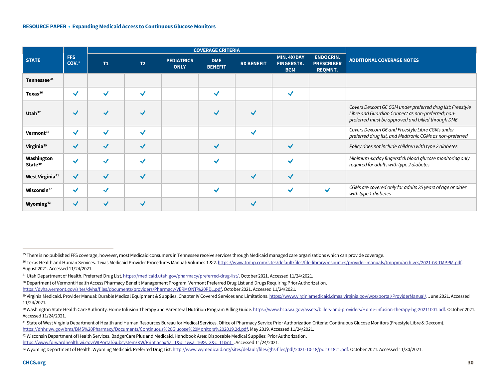<span id="page-29-8"></span><span id="page-29-7"></span><span id="page-29-6"></span><span id="page-29-5"></span><span id="page-29-4"></span><span id="page-29-3"></span><span id="page-29-2"></span><span id="page-29-1"></span><span id="page-29-0"></span>

|                                   |                                | <b>COVERAGE CRITERIA</b> |                |                                  |                              |                   |                                                |                                                         |                                                                                                                                                                     |
|-----------------------------------|--------------------------------|--------------------------|----------------|----------------------------------|------------------------------|-------------------|------------------------------------------------|---------------------------------------------------------|---------------------------------------------------------------------------------------------------------------------------------------------------------------------|
| <b>STATE</b>                      | <b>FFS</b><br>COV <sub>1</sub> | T1                       | T <sub>2</sub> | <b>PEDIATRICS</b><br><b>ONLY</b> | <b>DME</b><br><b>BENEFIT</b> | <b>RX BENEFIT</b> | MIN. 4X/DAY<br><b>FINGERSTK.</b><br><b>BGM</b> | <b>ENDOCRIN.</b><br><b>PRESCRIBER</b><br><b>REQMNT.</b> | <b>ADDITIONAL COVERAGE NOTES</b>                                                                                                                                    |
| Tennessee <sup>35</sup>           |                                |                          |                |                                  |                              |                   |                                                |                                                         |                                                                                                                                                                     |
| Texas <sup>36</sup>               | $\checkmark$                   | ✓                        | √              |                                  |                              |                   | $\checkmark$                                   |                                                         |                                                                                                                                                                     |
| Utah <sup>37</sup>                | $\checkmark$                   |                          |                |                                  |                              |                   |                                                |                                                         | Covers Dexcom G6 CGM under preferred drug list; Freestyle<br>Libre and Guardian Connect as non-preferred; non-<br>preferred must be approved and billed through DME |
| Vermont <sup>38</sup>             | $\checkmark$                   | ┙                        | √              |                                  |                              | ✓                 |                                                |                                                         | Covers Dexcom G6 and Freestyle Libre CGMs under<br>preferred drug list, and Medtronic CGMs as non-preferred                                                         |
| Virginia <sup>39</sup>            | $\checkmark$                   | √                        |                |                                  |                              |                   | $\checkmark$                                   |                                                         | Policy does not include children with type 2 diabetes                                                                                                               |
| Washington<br>State <sup>40</sup> | $\checkmark$                   |                          |                |                                  |                              |                   |                                                |                                                         | Minimum 4x/day fingerstick blood glucose monitoring only<br>required for adults with type 2 diabetes                                                                |
| West Virginia <sup>41</sup>       | $\checkmark$                   | √                        | $\checkmark$   |                                  |                              | $\checkmark$      | $\checkmark$                                   |                                                         |                                                                                                                                                                     |
| Wisconsin <sup>42</sup>           | $\checkmark$                   | √                        |                |                                  |                              |                   | ✔                                              | $\checkmark$                                            | CGMs are covered only for adults 25 years of age or older<br>with type 1 diabetes                                                                                   |
| Wyoming <sup>43</sup>             | $\checkmark$                   |                          |                |                                  |                              |                   |                                                |                                                         |                                                                                                                                                                     |

<sup>35</sup> There is no published FFS coverage, however, most Medicaid consumers in Tennessee receive services through Medicaid managed care organizations which can provide coverage.

<sup>36</sup> Texas Health and Human Services. Texas Medicaid Provider Procedures Manual: Volumes 1 & 2[. https://www.tmhp.com/sites/default/files/file-library/resources/provider-manuals/tmppm/archives/2021-08-TMPPM.pdf.](https://www.tmhp.com/sites/default/files/file-library/resources/provider-manuals/tmppm/archives/2021-08-TMPPM.pdf)  August 2021. Accessed 11/24/2021.

<sup>37</sup> Utah Department of Health. Preferred Drug List[. https://medicaid.utah.gov/pharmacy/preferred-drug-list/.](https://medicaid.utah.gov/pharmacy/preferred-drug-list/) October 2021. Accessed 11/24/2021.

<sup>38</sup> Department of Vermont Health Access Pharmacy Benefit Management Program. Vermont Preferred Drug List and Drugs Requiring Prior Authorization. [https://dvha.vermont.gov/sites/dvha/files/documents/providers/Pharmacy/VERMONT%20PDL.pdf.](https://dvha.vermont.gov/sites/dvha/files/documents/providers/Pharmacy/VERMONT%20PDL.pdf) October 2021. Accessed 11/24/2021.

<sup>39</sup> Virginia Medicaid. Provider Manual: Durable Medical Equipment & Supplies, Chapter IV Covered Services and Limitations[. https://www.virginiamedicaid.dmas.virginia.gov/wps/portal/ProviderManual/.](https://www.virginiamedicaid.dmas.virginia.gov/wps/portal/ProviderManual/) June 2021. Accessed 11/24/2021.

<sup>40</sup> Washington State Health Care Authority. Home Infusion Therapy and Parenteral Nutrition Program Billing Guide[. https://www.hca.wa.gov/assets/billers-and-providers/Home-infusion-therapy-bg-20211001.pdf.](https://www.hca.wa.gov/assets/billers-and-providers/Home-infusion-therapy-bg-20211001.pdf) October 2021. Accessed 11/24/2021.

<sup>41</sup> State of West Virginia Department of Health and Human Resources Bureau for Medical Services. Office of Pharmacy Service Prior Authorization Criteria: Continuous Glucose Monitors (Freestyle Libre & Dexcom). [https://dhhr.wv.gov/bms/BMS%20Pharmacy/Documents/Continuous%20Glucose%20Monitors%202019.2d.pdf.](https://dhhr.wv.gov/bms/BMS%20Pharmacy/Documents/Continuous%20Glucose%20Monitors%202019.2d.pdf) May 2019. Accessed 11/24/2021.

<sup>42</sup> Wisconsin Department of Health Services. BadgerCare Plus and Medicaid. Handbook Area: Disposable Medical Supplies: Prior Authorization. [https://www.forwardhealth.wi.gov/WIPortal/Subsystem/KW/Print.aspx?ia=1&p=1&sa=16&s=3&c=11&nt=.](https://www.forwardhealth.wi.gov/WIPortal/Subsystem/KW/Print.aspx?ia=1&p=1&sa=16&s=3&c=11&nt=) Accessed 11/24/2021*.*

<sup>43</sup> Wyoming Department of Health. Wyoming Medicaid: Preferred Drug List[. http://www.wymedicaid.org/sites/default/files/ghs-files/pdl/2021-10-18/pdl101821.pdf.](http://www.wymedicaid.org/sites/default/files/ghs-files/pdl/2021-10-18/pdl101821.pdf) October 2021. Accessed 11/30/2021.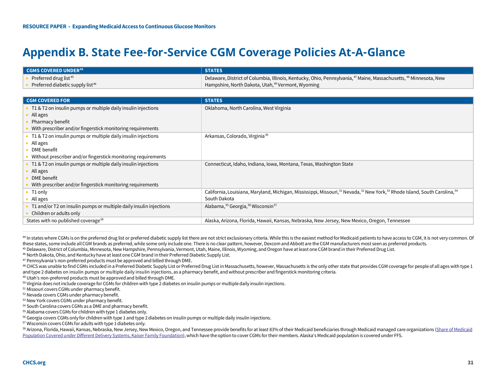# <span id="page-30-14"></span><span id="page-30-13"></span><span id="page-30-12"></span><span id="page-30-11"></span><span id="page-30-10"></span><span id="page-30-9"></span><span id="page-30-8"></span><span id="page-30-7"></span><span id="page-30-6"></span><span id="page-30-5"></span><span id="page-30-4"></span><span id="page-30-3"></span><span id="page-30-2"></span><span id="page-30-1"></span><span id="page-30-0"></span>**Appendix B. State Fee-for-Service CGM Coverage Policies At-A-Glance**

| $\blacksquare$ CGMS COVERED UNDER $^{44}$    | <b>STATES</b>                                                                                                                                         |
|----------------------------------------------|-------------------------------------------------------------------------------------------------------------------------------------------------------|
| Preferred drug list <sup>45</sup>            | <sup>1</sup> Delaware, District of Columbia, Illinois, Kentucky, Ohio, Pennsylvania, <sup>47</sup> Maine, Massachusetts, <sup>48</sup> Minnesota, New |
| Preferred diabetic supply list <sup>46</sup> | Hampshire, North Dakota, Utah, <sup>49</sup> Vermont, Wyoming                                                                                         |

| <b>CGM COVERED FOR</b>                                             | <b>STATES</b>                                                                                                                                                             |
|--------------------------------------------------------------------|---------------------------------------------------------------------------------------------------------------------------------------------------------------------------|
| T1 & T2 on insulin pumps or multiple daily insulin injections      | Oklahoma, North Carolina, West Virginia                                                                                                                                   |
| All ages                                                           |                                                                                                                                                                           |
| Pharmacy benefit                                                   |                                                                                                                                                                           |
| With prescriber and/or fingerstick monitoring requirements         |                                                                                                                                                                           |
| T1 & T2 on insulin pumps or multiple daily insulin injections      | Arkansas, Colorado, Virginia <sup>50</sup>                                                                                                                                |
| All ages                                                           |                                                                                                                                                                           |
| DME benefit                                                        |                                                                                                                                                                           |
| Without prescriber and/or fingerstick monitoring requirements      |                                                                                                                                                                           |
| T1 & T2 on insulin pumps or multiple daily insulin injections      | Connecticut, Idaho, Indiana, Iowa, Montana, Texas, Washington State                                                                                                       |
| All ages                                                           |                                                                                                                                                                           |
| DME benefit                                                        |                                                                                                                                                                           |
| With prescriber and/or fingerstick monitoring requirements         |                                                                                                                                                                           |
| T1 only                                                            | California, Louisiana, Maryland, Michigan, Mississippi, Missouri, <sup>51</sup> Nevada, <sup>52</sup> New York, <sup>53</sup> Rhode Island, South Carolina, <sup>54</sup> |
| All ages                                                           | South Dakota                                                                                                                                                              |
| T1 and/or T2 on insulin pumps or multiple daily insulin injections | Alabama, 55 Georgia, 56 Wisconsin <sup>57</sup>                                                                                                                           |
| Children or adults only                                            |                                                                                                                                                                           |
| States with no published coverage <sup>58</sup>                    | Alaska, Arizona, Florida, Hawaii, Kansas, Nebraska, New Jersey, New Mexico, Oregon, Tennessee                                                                             |

<sup>44</sup> In states where CGMs is on the preferred drug list or preferred diabetic supply list there are not strict exclusionary criteria. While this is the easiest method for Medicaid patients to have access to CGM, it is not

<sup>45</sup> Delaware, District of Columbia, Minnesota, New Hampshire, Pennsylvania, Vermont, Utah, Maine, Illinois, Wyoming, and Oregon have at least one CGM brand in their Preferred Drug List.<br><sup>46</sup> North Dakota, Ohio, and Kentuc

48 CHCS was unable to find CGMs included in a Preferred Diabetic Supply List or Preferred Drug List in Massachusetts, however, Massachusetts is the only other state that provides CGM coverage for people of all ages with ty and type 2 diabetes on insulin pumps or multiple daily insulin injections, as a pharmacy benefit, and without prescriber and fingerstick monitoring criteria.<br><sup>49</sup> Utah's non-preferred products must be approved and billed t

<sup>50</sup> Virginia does not include coverage for CGMs for children with type 2 diabetes on insulin pumps or multiple daily insulin injections.

<sup>51</sup> Missouri covers CGMs under pharmacy benefit.

<sup>52</sup> Nevada covers CGMs under pharmacy benefit.

<sup>53</sup> New York covers CGMs under pharmacy benefit.

<sup>54</sup> South Carolina covers CGMs as a DME and pharmacy benefit.

<sup>55</sup> Alabama covers CGMs for children with type 1 diabetes only.

<sup>56</sup> Georgia covers CGMs only for children with type 1 and type 2 diabetes on insulin pumps or multiple daily insulin injections.

<sup>57</sup> Wisconsin covers CGMs for adults with type 1 diabetes only.

<sup>58</sup> Arizona, Florida, Hawaii, Kansas, Nebraska, New Jersey, New Mexico, Oregon, and Tennessee provide benefits for at least 83% of their Medicaid beneficiaries through Medicaid managed care organizations (Share of Medicai [Population Covered under Different Delivery Systems, Kaiser Family Foundation\),](https://www.kff.org/medicaid/state-indicator/share-of-medicaid-population-covered-under-different-delivery-systems/?currentTimeframe=0&sortModel=%7B%22colId%22:%22Location%22,%22sort%22:%22asc%22%7D) which have the option to cover CGMs for their members. Alaska's Medicaid population is covered under FFS.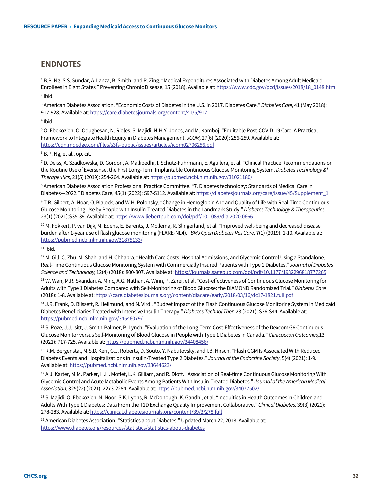### **ENDNOTES**

<sup>1</sup> B.P. Ng, S.S. Sundar, A. Lanza, B. Smith, and P. Zing. "Medical Expenditures Associated with Diabetes Among Adult Medicaid Enrollees in Eight States." Preventing Chronic Disease, 15 (2018). Available at[: https://www.cdc.gov/pcd/issues/2018/18\\_0148.htm](https://www.cdc.gov/pcd/issues/2018/18_0148.htm)  $2$  Ibid.

<sup>3</sup> American Diabetes Association. "Economic Costs of Diabetes in the U.S. in 2017. Diabetes Care." *Diabetes Care,* 41 (May 2018): 917-928. Available at[: https://care.diabetesjournals.org/content/41/5/917](https://care.diabetesjournals.org/content/41/5/917)

<sup>4</sup> Ibid.

<sup>5</sup> O. Ebekozien, O. Odugbesan, N. Rioles, S. Majidi, N-H.Y. Jones, and M. Kamboj. "Equitable Post-COVID-19 Care: A Practical Framework to Integrate Health Equity in Diabetes Management. *JCOM,* 27(6) (2020): 256-259. Available at: <https://cdn.mdedge.com/files/s3fs-public/issues/articles/jcom02706256.pdf>

<sup>6</sup> B.P. Ng, et al., op. cit.

<sup>7</sup> D. Deiss, A. Szadkowska, D. Gordon, A. Mallipedhi, I. Schutz-Fuhrmann, E. Aguilera, et al. "Clinical Practice Recommendations on the Routine Use of Eversense, the First Long-Term Implantable Continuous Glucose Monitoring System. *Diabetes Technology &l Therapeutics,* 21(5) (2019): 254-264. Available at[: https://pubmed.ncbi.nlm.nih.gov/31021180/](https://pubmed.ncbi.nlm.nih.gov/31021180/)

<sup>8</sup> American Diabetes Association Professional Practice Committee. "7. Diabetes technology: Standards of Medical Care in Diabetes—2022." Diabetes Care, 45(1) (2022): S97-S112. Available at: [https://diabetesjournals.org/care/issue/45/Supplement\\_1](https://diabetesjournals.org/care/issue/45/Supplement_1)

<sup>9</sup> T.R. Gilbert, A. Noar, O. Blalock, and W.H. Polonsky. "Change in Hemoglobin A1c and Quality of Life with Real-Time Continuous Glucose Monitoring Use by People with Insulin-Treated Diabetes in the Landmark Study." *Diabetes Technology & Therapeutics,*  23(1) (2021):S35-39. Available at[: https://www.liebertpub.com/doi/pdf/10.1089/dia.2020.0666](https://www.liebertpub.com/doi/pdf/10.1089/dia.2020.0666)

<sup>10</sup> M. Fokkert, P. van Dijk, M. Edens, E. Barents, J. Mollema, R. Slingerland, et al. "Improved well-being and decreased disease burden after 1-year use of flash glucose monitoring (FLARE-NL4)." *BMJ Open Diabetes Res Care,* 7(1) (2019): 1-10. Available at: <https://pubmed.ncbi.nlm.nih.gov/31875133/>

 $11$  Ibid.

 $12$  M. Gill, C. Zhu, M. Shah, and H. Chhabra. "Health Care Costs, Hospital Admissions, and Glycemic Control Using a Standalone, Real-Time Continuous Glucose Monitoring System with Commercially Insured Patients with Type 1 Diabetes." *Journal of Diabetes Science and Technology,* 12(4) (2018): 800-807. Available at[: https://journals.sagepub.com/doi/pdf/10.1177/1932296818777265](https://journals.sagepub.com/doi/pdf/10.1177/1932296818777265)

<sup>13</sup> W. Wan, M.R. Skandari, A. Minc, A.G. Nathan, A. Winn, P. Zarei, et al. "Cost-effectiveness of Continuous Glucose Monitoring for Adults with Type 1 Diabetes Compared with Self-Monitoring of Blood Glucose: the DIAMOND Randomized Trial." *Diabetes Care*  (2018): 1-8. Available at[: https://care.diabetesjournals.org/content/diacare/early/2018/03/16/dc17-1821.full.pdf](https://care.diabetesjournals.org/content/diacare/early/2018/03/16/dc17-1821.full.pdf)

<sup>14</sup> J.R. Frank, D. Blissett, R. Hellmund, and N. Virdi. "Budget Impact of the Flash Continuous Glucose Monitoring System in Medicaid Diabetes Beneficiaries Treated with Intensive Insulin Therapy." *Diabetes Technol Ther,* 23 (2021): S36-S44. Available at: <https://pubmed.ncbi.nlm.nih.gov/34546079/>

<sup>15</sup> S. Roze, J.J. Isitt, J. Smith-Palmer, P. Lynch. "Evaluation of the Long-Term Cost-Effectiveness of the Dexcom G6 Continuous Glucose Monitor versus Self-Monitoring of Blood Glucose in People with Type 1 Diabetes in Canada." *Clinicoecon Outcomes,*13 (2021): 717-725. Available at[: https://pubmed.ncbi.nlm.nih.gov/34408456/](https://pubmed.ncbi.nlm.nih.gov/34408456/)

<sup>16</sup> R.M. Bergenstal, M.S.D. Kerr, G.J. Roberts, D. Souto, Y. Nabutovsky, and I.B. Hirsch. "Flash CGM Is Associated With Reduced Diabetes Events and Hospitalizations in Insulin-Treated Type 2 Diabetes." *Journal of the Endocrine Society*, 5(4) (2021): 1-9. Available at[: https://pubmed.ncbi.nlm.nih.gov/33644623/](https://pubmed.ncbi.nlm.nih.gov/33644623/)

<sup>17</sup> A.J. Karter, M.M. Parker, H.H. Moffet, L.K. Gilliam, and R. Dlott. "Association of Real-time Continuous Glucose Monitoring With Glycemic Control and Acute Metabolic Events Among Patients With Insulin-Treated Diabetes." *Journal of the American Medical Association,* 325(22) (2021): 2273-2284. Available at[: https://pubmed.ncbi.nlm.nih.gov/34077502/](https://pubmed.ncbi.nlm.nih.gov/34077502/)

<sup>18</sup> S. Majidi, O. Ebekozien, N. Noor, S.K. Lyons, R. McDonough, K. Gandhi, et al. "Inequities in Health Outcomes in Children and Adults With Type 1 Diabetes: Data From the T1D Exchange Quality Improvement Collaborative." *Clinical Diabetes,* 39(3) (2021): 278-283. Available at[: https://clinical.diabetesjournals.org/content/39/3/278.full](https://clinical.diabetesjournals.org/content/39/3/278.full)

<sup>19</sup> American Diabetes Association. "Statistics about Diabetes." Updated March 22, 2018. Available at: <https://www.diabetes.org/resources/statistics/statistics-about-diabetes>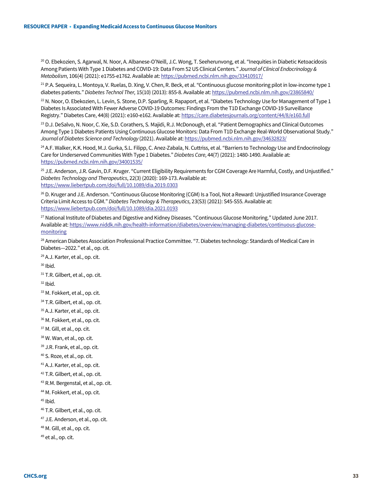<sup>20</sup> O. Ebekozien, S. Agarwal, N. Noor, A. Albanese-O'Neill, J.C. Wong, T. Seeherunvong, et al. "Inequities in Diabetic Ketoacidosis Among Patients With Type 1 Diabetes and COVID-19: Data From 52 US Clinical Centers." *Journal of Clinical Endocrinology & Metabolism,* 106(4) (2021): e1755-e1762. Available at[: https://pubmed.ncbi.nlm.nih.gov/33410917/](https://pubmed.ncbi.nlm.nih.gov/33410917/)

<span id="page-32-0"></span> $21$  P.A. Sequeira, L. Montova, V. Ruelas, D. Xing, V. Chen, R. Beck, et al. "Continuous glucose monitoring pilot in low-income type 1 diabetes patients." *Diabetes Technol Ther,* 15(10) (2013): 855-8. Available at[: https://pubmed.ncbi.nlm.nih.gov/23865840/](https://pubmed.ncbi.nlm.nih.gov/23865840/)

<span id="page-32-2"></span><span id="page-32-1"></span> $^{22}$  N. Noor, O. Ebekozien, L. Levin, S. Stone, D.P. Sparling, R. Rapaport, et al. "Diabetes Technology Use for Management of Type 1 Diabetes Is Associated With Fewer Adverse COVID-19 Outcomes: Findings From the T1D Exchange COVID-19 Surveillance Registry." Diabetes Care, 44(8) (2021): e160-e162. Available at[: https://care.diabetesjournals.org/content/44/8/e160.full](https://care.diabetesjournals.org/content/44/8/e160.full)

<span id="page-32-4"></span><span id="page-32-3"></span><sup>23</sup> D.J. DeSalvo, N. Noor, C. Xie, S.D. Corathers, S. Majidi, R.J. McDonough, et al. "Patient Demographics and Clinical Outcomes Among Type 1 Diabetes Patients Using Continuous Glucose Monitors: Data From T1D Exchange Real-World Observational Study." *Journal of Diabetes Science and Technology* (2021). Available at: <https://pubmed.ncbi.nlm.nih.gov/34632823/>

<span id="page-32-5"></span><sup>24</sup> A.F. Walker, K.K. Hood, M.J. Gurka, S.L. Filipp, C. Anez-Zabala, N. Cuttriss, et al. "Barriers to Technology Use and Endocrinology Care for Underserved Communities With Type 1 Diabetes." *Diabetes Care,* 44(7) (2021): 1480-1490. Available at: <https://pubmed.ncbi.nlm.nih.gov/34001535/>

<span id="page-32-6"></span><sup>25</sup> J.E. Anderson, J.R. Gavin, D.F. Kruger. "Current Eligibility Requirements for CGM Coverage Are Harmful, Costly, and Unjustified." *Diabetes Technology and Therapeutics*, 22(3) (2020): 169-173. Available at: <https://www.liebertpub.com/doi/full/10.1089/dia.2019.0303>

<span id="page-32-8"></span><span id="page-32-7"></span><sup>26</sup> D. Kruger and J.E. Anderson. "Continuous Glucose Monitoring (CGM) Is a Tool, Not a Reward: Unjustified Insurance Coverage Criteria Limit Access to CGM." *Diabetes Technology & Therapeutics,* 23(S3) (2021): S45-S55. Available at: <https://www.liebertpub.com/doi/full/10.1089/dia.2021.0193>

<span id="page-32-9"></span><sup>27</sup> National Institute of Diabetes and Digestive and Kidney Diseases. "Continuous Glucose Monitoring." Updated June 2017. Available at[: https://www.niddk.nih.gov/health-information/diabetes/overview/managing-diabetes/continuous-glucose](https://www.niddk.nih.gov/health-information/diabetes/overview/managing-diabetes/continuous-glucose-monitoring)[monitoring](https://www.niddk.nih.gov/health-information/diabetes/overview/managing-diabetes/continuous-glucose-monitoring)

<sup>28</sup> American Diabetes Association Professional Practice Committee. "7. Diabetes technology: Standards of Medical Care in Diabetes—2022." et al., op. cit.

<span id="page-32-11"></span><span id="page-32-10"></span><sup>29</sup> A.J. Karter, et al., op. cit.

 $30$  Ibid.

31 T.R. Gilbert, et al., op. cit.

<span id="page-32-12"></span> $32$  Ibid.

33 M. Fokkert, et al., op. cit.

<span id="page-32-13"></span><sup>34</sup> T.R. Gilbert, et al., op. cit.

<sup>35</sup> A.J. Karter, et al., op. cit.

36 M. Fokkert, et al., op. cit.

<span id="page-32-14"></span>37 M. Gill, et al., op. cit.

38 W. Wan, et al., op. cit.

<span id="page-32-15"></span>39 J.R. Frank, et al., op. cit.

<sup>40</sup> S. Roze, et al., op. cit.

<sup>41</sup> A.J. Karter, et al., op. cit.

<span id="page-32-16"></span><sup>42</sup> T.R. Gilbert, et al., op. cit.

<sup>43</sup> R.M. Bergenstal, et al., op. cit.

<sup>44</sup> M. Fokkert, et al., op. cit.

<span id="page-32-17"></span> $45$  Ibid.

<sup>46</sup> T.R. Gilbert, et al., op. cit.

<span id="page-32-18"></span><sup>47</sup> J.E. Anderson, et al., op. cit.

<sup>48</sup> M. Gill, et al., op. cit.

<sup>49</sup> et al., op. cit.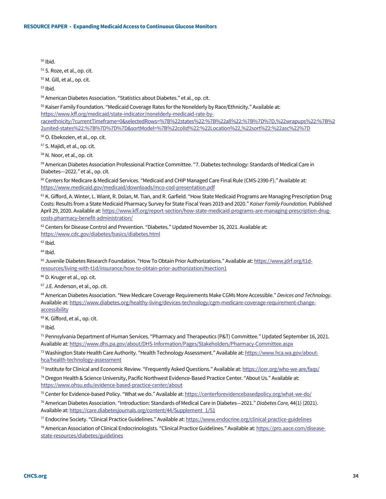<span id="page-33-0"></span><sup>50</sup> Ibid.

<sup>51</sup> S. Roze, et al., op. cit.

<span id="page-33-1"></span><sup>52</sup> M. Gill, et al., op. cit.

 $53$  Ibid.

<span id="page-33-2"></span><sup>54</sup> American Diabetes Association. "Statistics about Diabetes." et al., op. cit.

<sup>55</sup> Kaiser Family Foundation. "Medicaid Coverage Rates for the Nonelderly by Race/Ethnicity." Available at:

[https://www.kff.org/medicaid/state-indicator/nonelderly-medicaid-rate-by-](https://www.kff.org/medicaid/state-indicator/nonelderly-medicaid-rate-by-raceethnicity/?currentTimeframe=0&selectedRows=%7B%22states%22:%7B%22all%22:%7B%7D%7D,%22wrapups%22:%7B%22united-states%22:%7B%7D%7D%7D&sortModel=%7B%22colId%22:%22Location%22,%22sort%22:%22asc%22%7D)

<span id="page-33-3"></span>[raceethnicity/?currentTimeframe=0&selectedRows=%7B%22states%22:%7B%22all%22:%7B%7D%7D,%22wrapups%22:%7B%2](https://www.kff.org/medicaid/state-indicator/nonelderly-medicaid-rate-by-raceethnicity/?currentTimeframe=0&selectedRows=%7B%22states%22:%7B%22all%22:%7B%7D%7D,%22wrapups%22:%7B%22united-states%22:%7B%7D%7D%7D&sortModel=%7B%22colId%22:%22Location%22,%22sort%22:%22asc%22%7D) [2united-states%22:%7B%7D%7D%7D&sortModel=%7B%22colId%22:%22Location%22,%22sort%22:%22asc%22%7D](https://www.kff.org/medicaid/state-indicator/nonelderly-medicaid-rate-by-raceethnicity/?currentTimeframe=0&selectedRows=%7B%22states%22:%7B%22all%22:%7B%7D%7D,%22wrapups%22:%7B%22united-states%22:%7B%7D%7D%7D&sortModel=%7B%22colId%22:%22Location%22,%22sort%22:%22asc%22%7D)

<sup>56</sup> O. Ebekozien, et al., op. cit.

<span id="page-33-4"></span><sup>57</sup> S. Majidi, et al., op. cit.

<sup>58</sup> N. Noor, et al., op. cit.

<span id="page-33-5"></span><sup>59</sup> American Diabetes Association Professional Practice Committee. "7. Diabetes technology: Standards of Medical Care in Diabetes—2022." et al., op. cit.

60 Centers for Medicare & Medicaid Services. "Medicaid and CHIP Managed Care Final Rule (CMS-2390-F)." Available at: <https://www.medicaid.gov/medicaid/downloads/mco-cod-presentation.pdf>

<span id="page-33-6"></span> $61$  K. Gifford, A. Winter, L. Wiant, R. Dolan, M. Tian, and R. Garfield. "How State Medicaid Programs are Managing Prescription Drug Costs: Results from a State Medicaid Pharmacy Survey for State Fiscal Years 2019 and 2020." *Kaiser Family Foundation.* Published April 29, 2020. Available at[: https://www.kff.org/report-section/how-state-medicaid-programs-are-managing-prescription-drug](https://www.kff.org/report-section/how-state-medicaid-programs-are-managing-prescription-drug-costs-pharmacy-benefit-administration/)[costs-pharmacy-benefit-administration/](https://www.kff.org/report-section/how-state-medicaid-programs-are-managing-prescription-drug-costs-pharmacy-benefit-administration/)

<span id="page-33-7"></span> $62$  Centers for Disease Control and Prevention. "Diabetes." Updated November 16, 2021. Available at: <https://www.cdc.gov/diabetes/basics/diabetes.html>

<span id="page-33-16"></span> $63$  Ibid.

<span id="page-33-17"></span> $64$  Ibid.

<span id="page-33-18"></span><sup>65</sup> Juvenile Diabetes Research Foundation. "How To Obtain Prior Authorizations." Available at[: https://www.jdrf.org/t1d](https://www.jdrf.org/t1d-resources/living-with-t1d/insurance/how-to-obtain-prior-authorization/#section1)[resources/living-with-t1d/insurance/how-to-obtain-prior-authorization/#section1](https://www.jdrf.org/t1d-resources/living-with-t1d/insurance/how-to-obtain-prior-authorization/#section1)

<span id="page-33-19"></span><sup>66</sup> D. Kruger et al., op. cit.

<span id="page-33-20"></span><sup>67</sup> J.E. Anderson, et al., op. cit.

<span id="page-33-22"></span><span id="page-33-21"></span><sup>68</sup> American Diabetes Association. "New Medicare Coverage Requirements Make CGMs More Accessible." *Devices and Technology.*  Available at[: https://www.diabetes.org/healthy-living/devices-technology/cgm-medicare-coverage-requirement-change](https://www.diabetes.org/healthy-living/devices-technology/cgm-medicare-coverage-requirement-change-accessibility)**[accessibility](https://www.diabetes.org/healthy-living/devices-technology/cgm-medicare-coverage-requirement-change-accessibility)** 

<span id="page-33-24"></span><span id="page-33-23"></span>69 K. Gifford, et al., op. cit.

<span id="page-33-25"></span> $70$  Ibid.

<span id="page-33-26"></span><sup>71</sup> Pennsylvania Department of Human Services. "Pharmacy and Therapeutics (P&T) Committee." Updated September 16, 2021. Available at[: https://www.dhs.pa.gov/about/DHS-Information/Pages/Stakeholders/Pharmacy-Committee.aspx](https://www.dhs.pa.gov/about/DHS-Information/Pages/Stakeholders/Pharmacy-Committee.aspx)

<span id="page-33-28"></span><span id="page-33-27"></span>72 Washington State Health Care Authority. "Health Technology Assessment." Available at[: https://www.hca.wa.gov/about](https://www.hca.wa.gov/about-hca/health-technology-assessment)[hca/health-technology-assessment](https://www.hca.wa.gov/about-hca/health-technology-assessment)

<span id="page-33-9"></span><span id="page-33-8"></span><sup>73</sup> Institute for Clinical and Economic Review. "Frequently Asked Questions." Available at[: https://icer.org/who-we-are/faqs/](https://icer.org/who-we-are/faqs/)

<span id="page-33-10"></span><sup>74</sup> Oregon Health & Science University, Pacific Northwest Evidence-Based Practice Center. "About Us." Available at: <https://www.ohsu.edu/evidence-based-practice-center/about>

<span id="page-33-11"></span><sup>75</sup> Center for Evidence-based Policy. "What we do." Available at:<https://centerforevidencebasedpolicy.org/what-we-do/>

<span id="page-33-13"></span><span id="page-33-12"></span><sup>76</sup> American Diabetes Association. "Introduction: Standards of Medical Care in Diabetes—2021." *Diabetes Care,* 44(1) (2021). Available at[: https://care.diabetesjournals.org/content/44/Supplement\\_1/S1](https://care.diabetesjournals.org/content/44/Supplement_1/S1)

<span id="page-33-14"></span>77 Endocrine Society. "Clinical Practice Guidelines." Available at[: https://www.endocrine.org/clinical-practice-guidelines](https://www.endocrine.org/clinical-practice-guidelines)

<span id="page-33-29"></span><span id="page-33-15"></span><sup>78</sup> American Association of Clinical Endocrinologists. "Clinical Practice Guidelines." Available at[: https://pro.aace.com/disease](https://pro.aace.com/disease-state-resources/diabetes/guidelines)[state-resources/diabetes/guidelines](https://pro.aace.com/disease-state-resources/diabetes/guidelines)